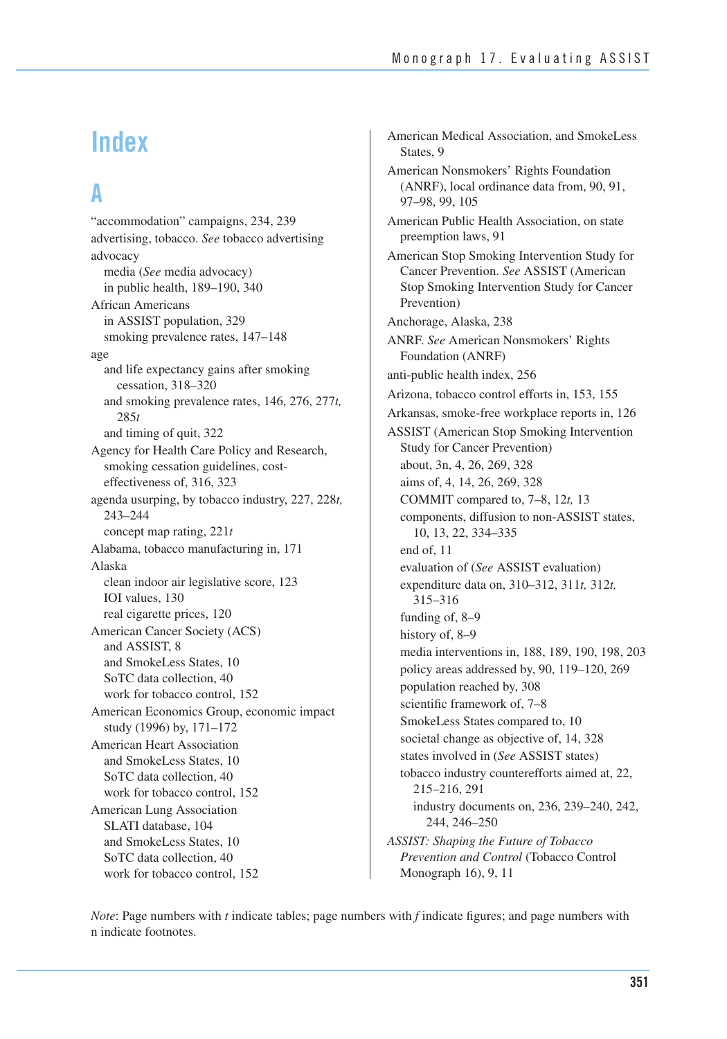# **Index**

# **A**

"accommodation" campaigns, 234, 239 advertising, tobacco. *See* tobacco advertising advocacy media (*See* media advocacy) in public health, 189–190, 340 African Americans in ASSIST population, 329 smoking prevalence rates, 147–148 age and life expectancy gains after smoking cessation, 318–320 and smoking prevalence rates, 146, 276, 277*t,* 285*t* and timing of quit, 322 Agency for Health Care Policy and Research, smoking cessation guidelines, costeffectiveness of, 316, 323 agenda usurping, by tobacco industry, 227, 228*t,*  243–244 concept map rating, 221*t*  Alabama, tobacco manufacturing in, 171 Alaska clean indoor air legislative score, 123 IOI values, 130 real cigarette prices, 120 American Cancer Society (ACS) and ASSIST, 8 and SmokeLess States, 10 SoTC data collection, 40 work for tobacco control, 152 American Economics Group, economic impact study (1996) by, 171–172 American Heart Association and SmokeLess States, 10 SoTC data collection, 40 work for tobacco control, 152 American Lung Association SLATI database, 104 and SmokeLess States, 10 SoTC data collection, 40 work for tobacco control, 152

American Medical Association, and SmokeLess States, 9 American Nonsmokers' Rights Foundation (ANRF), local ordinance data from, 90, 91, 97–98, 99, 105 American Public Health Association, on state preemption laws, 91 American Stop Smoking Intervention Study for Cancer Prevention. *See* ASSIST (American Stop Smoking Intervention Study for Cancer Prevention) Anchorage, Alaska, 238 ANRF. *See* American Nonsmokers' Rights Foundation (ANRF) anti-public health index, 256 Arizona, tobacco control efforts in, 153, 155 Arkansas, smoke-free workplace reports in, 126 ASSIST (American Stop Smoking Intervention Study for Cancer Prevention) about, 3n, 4, 26, 269, 328 aims of, 4, 14, 26, 269, 328 COMMIT compared to, 7–8, 12*t,* 13 components, diffusion to non-ASSIST states, 10, 13, 22, 334–335 end of, 11 evaluation of (*See* ASSIST evaluation) expenditure data on, 310–312, 311*t,* 312*t,* 315–316 funding of, 8–9 history of, 8–9 media interventions in, 188, 189, 190, 198, 203 policy areas addressed by, 90, 119–120, 269 population reached by, 308 scientific framework of, 7–8 SmokeLess States compared to, 10 societal change as objective of, 14, 328 states involved in (*See* ASSIST states) tobacco industry counterefforts aimed at, 22, 215–216, 291 industry documents on, 236, 239–240, 242, 244, 246–250 *ASSIST: Shaping the Future of Tobacco Prevention and Control* (Tobacco Control Monograph 16), 9, 11

*Note*: Page numbers with *t* indicate tables; page numbers with *f* indicate figures; and page numbers with n indicate footnotes.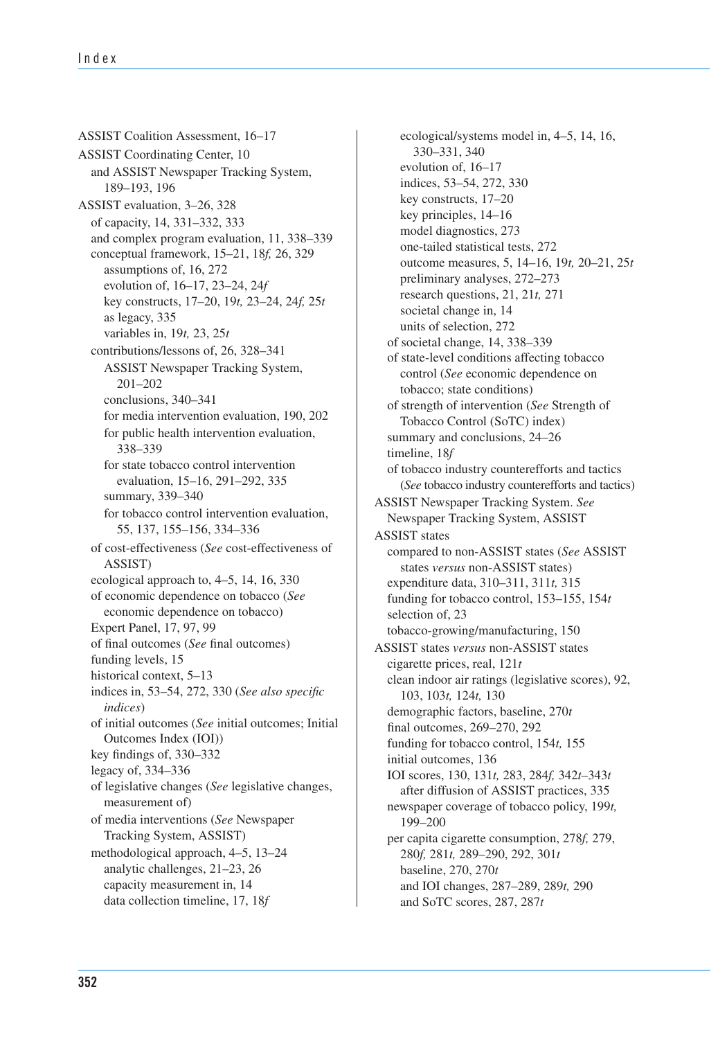ASSIST Coalition Assessment, 16–17 ASSIST Coordinating Center, 10 and ASSIST Newspaper Tracking System, 189–193, 196 ASSIST evaluation, 3–26, 328 of capacity, 14, 331–332, 333 and complex program evaluation, 11, 338–339 conceptual framework, 15–21, 18*f,* 26, 329 assumptions of, 16, 272 evolution of, 16–17, 23–24, 24*f*  key constructs, 17–20, 19*t,* 23–24, 24*f,* 25*t*  as legacy, 335 variables in, 19*t,* 23, 25*t*  contributions/lessons of, 26, 328–341 ASSIST Newspaper Tracking System, 201–202 conclusions, 340–341 for media intervention evaluation, 190, 202 for public health intervention evaluation, 338–339 for state tobacco control intervention evaluation, 15–16, 291–292, 335 summary, 339–340 for tobacco control intervention evaluation, 55, 137, 155–156, 334–336 of cost-effectiveness (*See* cost-effectiveness of ASSIST) ecological approach to, 4–5, 14, 16, 330 of economic dependence on tobacco (*See*  economic dependence on tobacco) Expert Panel, 17, 97, 99 of final outcomes (*See* final outcomes) funding levels, 15 historical context, 5–13 indices in, 53–54, 272, 330 (*See also specific indices*) of initial outcomes (*See* initial outcomes; Initial Outcomes Index (IOI)) key findings of, 330–332 legacy of, 334–336 of legislative changes (*See* legislative changes, measurement of) of media interventions (*See* Newspaper Tracking System, ASSIST) methodological approach, 4–5, 13–24 analytic challenges, 21–23, 26 capacity measurement in, 14 data collection timeline, 17, 18*f* 

 (*See* tobacco industry counterefforts and tactics) ecological/systems model in, 4–5, 14, 16, 330–331, 340 evolution of, 16–17 indices, 53–54, 272, 330 key constructs, 17–20 key principles, 14–16 model diagnostics, 273 one-tailed statistical tests, 272 outcome measures, 5, 14–16, 19*t,* 20–21, 25*t*  preliminary analyses, 272–273 research questions, 21, 21*t,* 271 societal change in, 14 units of selection, 272 of societal change, 14, 338–339 of state-level conditions affecting tobacco control (*See* economic dependence on tobacco; state conditions) of strength of intervention (*See* Strength of Tobacco Control (SoTC) index) summary and conclusions, 24–26 timeline, 18*f*  of tobacco industry counterefforts and tactics ASSIST Newspaper Tracking System. *See*  Newspaper Tracking System, ASSIST ASSIST states compared to non-ASSIST states (*See* ASSIST states *versus* non-ASSIST states) expenditure data, 310–311, 311*t,* 315 funding for tobacco control, 153–155, 154*t*  selection of, 23 tobacco-growing/manufacturing, 150 ASSIST states *versus* non-ASSIST states cigarette prices, real, 121*t*  clean indoor air ratings (legislative scores), 92, 103, 103*t,* 124*t,* 130 demographic factors, baseline, 270*t*  final outcomes, 269–270, 292 funding for tobacco control, 154*t,* 155 initial outcomes, 136 IOI scores, 130, 131*t,* 283, 284*f,* 342*t*–343*t*  after diffusion of ASSIST practices, 335 newspaper coverage of tobacco policy, 199*t,*  199–200 per capita cigarette consumption, 278*f,* 279, 280*f,* 281*t,* 289–290, 292, 301*t*  baseline, 270, 270*t*  and IOI changes, 287–289, 289*t,* 290 and SoTC scores, 287, 287*t*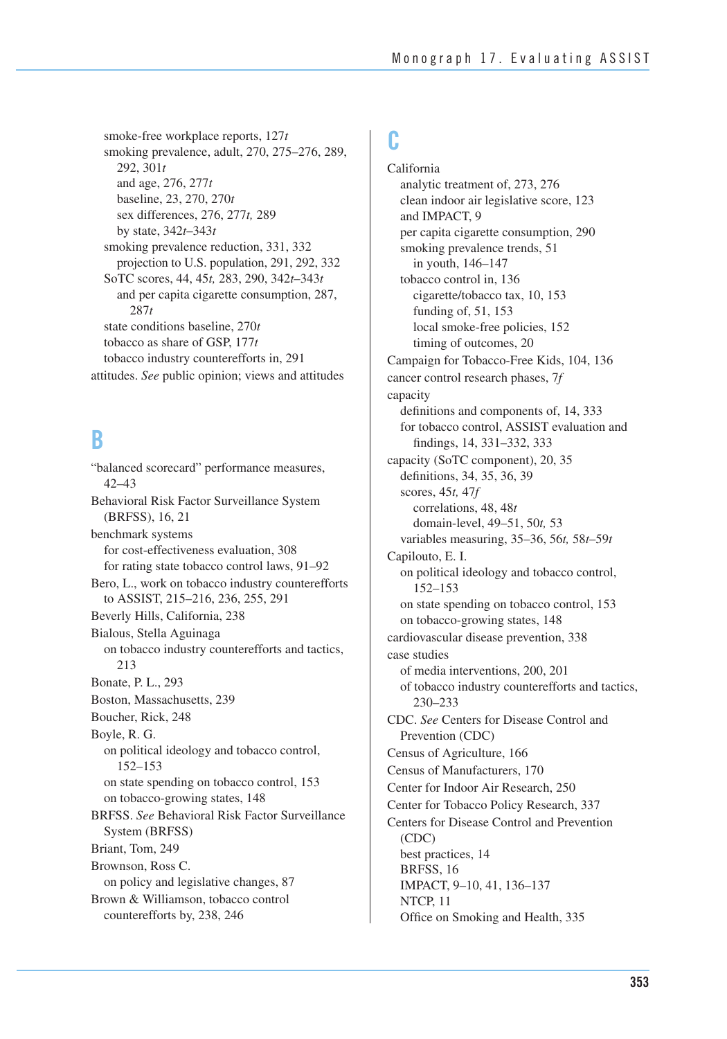projection to U.S. population, 291, 292, 332 smoke-free workplace reports, 127*t*  smoking prevalence, adult, 270, 275–276, 289, 292, 301*t* and age, 276, 277*t* baseline, 23, 270, 270*t* sex differences, 276, 277*t,* 289 by state, 342*t*–343*t* smoking prevalence reduction, 331, 332 SoTC scores, 44, 45*t,* 283, 290, 342*t*–343*t* and per capita cigarette consumption, 287, 287*t* state conditions baseline, 270*t* tobacco as share of GSP, 177*t* tobacco industry counterefforts in, 291 attitudes. *See* public opinion; views and attitudes

# **B**

"balanced scorecard" performance measures, 42–43 Behavioral Risk Factor Surveillance System (BRFSS), 16, 21 benchmark systems for cost-effectiveness evaluation, 308 for rating state tobacco control laws, 91–92 Bero, L., work on tobacco industry counterefforts to ASSIST, 215–216, 236, 255, 291 Beverly Hills, California, 238 Bialous, Stella Aguinaga on tobacco industry counterefforts and tactics, 213 Bonate, P. L., 293 Boston, Massachusetts, 239 Boucher, Rick, 248 Boyle, R. G. on political ideology and tobacco control, 152–153 on state spending on tobacco control, 153 on tobacco-growing states, 148 BRFSS. *See* Behavioral Risk Factor Surveillance System (BRFSS) Briant, Tom, 249 Brownson, Ross C. on policy and legislative changes, 87 Brown & Williamson, tobacco control counterefforts by, 238, 246

## **C**

California analytic treatment of, 273, 276 clean indoor air legislative score, 123 and IMPACT, 9 per capita cigarette consumption, 290 smoking prevalence trends, 51 in youth, 146–147 tobacco control in, 136 cigarette/tobacco tax, 10, 153 funding of, 51, 153 local smoke-free policies, 152 timing of outcomes, 20 Campaign for Tobacco-Free Kids, 104, 136 cancer control research phases, 7*f* capacity definitions and components of, 14, 333 for tobacco control, ASSIST evaluation and findings, 14, 331–332, 333 capacity (SoTC component), 20, 35 definitions, 34, 35, 36, 39 scores, 45*t,* 47*f* correlations, 48, 48*t* domain-level, 49–51, 50*t,* 53 variables measuring, 35–36, 56*t,* 58*t*–59*t* Capilouto, E. I. on political ideology and tobacco control, 152–153 on state spending on tobacco control, 153 on tobacco-growing states, 148 cardiovascular disease prevention, 338 case studies of media interventions, 200, 201 of tobacco industry counterefforts and tactics, 230–233 CDC. *See* Centers for Disease Control and Prevention (CDC) Census of Agriculture, 166 Census of Manufacturers, 170 Center for Indoor Air Research, 250 Center for Tobacco Policy Research, 337 Centers for Disease Control and Prevention (CDC) best practices, 14 BRFSS, 16 IMPACT, 9–10, 41, 136–137 NTCP, 11 Office on Smoking and Health, 335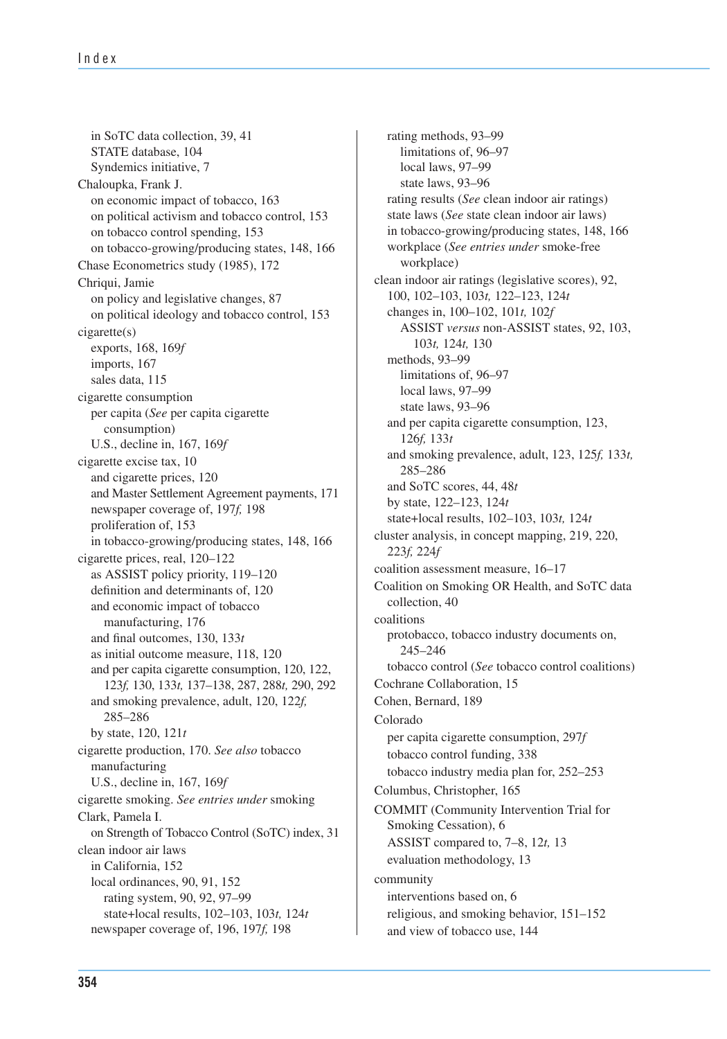and Master Settlement Agreement payments, 171 and per capita cigarette consumption, 120, 122, 123*f,* 130, 133*t,* 137–138, 287, 288*t,* 290, 292 on Strength of Tobacco Control (SoTC) index, 31 in SoTC data collection, 39, 41 STATE database, 104 Syndemics initiative, 7 Chaloupka, Frank J. on economic impact of tobacco, 163 on political activism and tobacco control, 153 on tobacco control spending, 153 on tobacco-growing/producing states, 148, 166 Chase Econometrics study (1985), 172 Chriqui, Jamie on policy and legislative changes, 87 on political ideology and tobacco control, 153 cigarette(s) exports, 168, 169*f*  imports, 167 sales data, 115 cigarette consumption per capita (*See* per capita cigarette consumption) U.S., decline in, 167, 169*f*  cigarette excise tax, 10 and cigarette prices, 120 newspaper coverage of, 197*f,* 198 proliferation of, 153 in tobacco-growing/producing states, 148, 166 cigarette prices, real, 120–122 as ASSIST policy priority, 119–120 definition and determinants of, 120 and economic impact of tobacco manufacturing, 176 and final outcomes, 130, 133*t*  as initial outcome measure, 118, 120 and smoking prevalence, adult, 120, 122*f,*  285–286 by state, 120, 121*t*  cigarette production, 170. *See also* tobacco manufacturing U.S., decline in, 167, 169*f*  cigarette smoking. *See entries under* smoking Clark, Pamela I. clean indoor air laws in California, 152 local ordinances, 90, 91, 152 rating system, 90, 92, 97–99 state+local results, 102–103, 103*t,* 124*t* newspaper coverage of, 196, 197*f,* 198

rating methods, 93–99 limitations of, 96–97 local laws, 97–99 state laws, 93–96 rating results (*See* clean indoor air ratings) state laws (*See* state clean indoor air laws) in tobacco-growing/producing states, 148, 166 workplace (*See entries under* smoke-free workplace) clean indoor air ratings (legislative scores), 92, 100, 102–103, 103*t,* 122–123, 124*t*  changes in, 100–102, 101*t,* 102*f*  ASSIST *versus* non-ASSIST states, 92, 103, 103*t,* 124*t,* 130 methods, 93–99 limitations of, 96–97 local laws, 97–99 state laws, 93–96 and per capita cigarette consumption, 123, 126*f,* 133*t*  and smoking prevalence, adult, 123, 125*f,* 133*t,*  285–286 and SoTC scores, 44, 48*t* by state, 122–123, 124*t* state+local results, 102–103, 103*t,* 124*t* cluster analysis, in concept mapping, 219, 220, 223*f,* 224*f*  coalition assessment measure, 16–17 Coalition on Smoking OR Health, and SoTC data collection, 40 coalitions protobacco, tobacco industry documents on, 245–246 tobacco control (*See* tobacco control coalitions) Cochrane Collaboration, 15 Cohen, Bernard, 189 Colorado per capita cigarette consumption, 297*f* tobacco control funding, 338 tobacco industry media plan for, 252–253 Columbus, Christopher, 165 COMMIT (Community Intervention Trial for Smoking Cessation), 6 ASSIST compared to, 7–8, 12*t,* 13 evaluation methodology, 13 community interventions based on, 6 religious, and smoking behavior, 151–152 and view of tobacco use, 144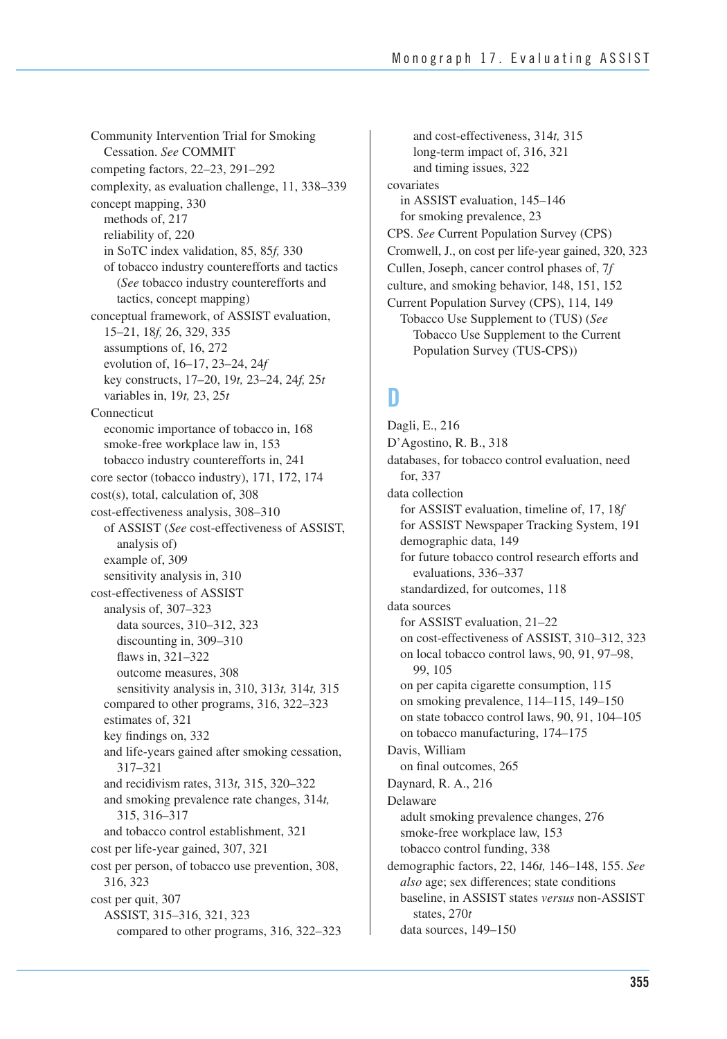Community Intervention Trial for Smoking Cessation. *See* COMMIT competing factors, 22–23, 291–292 complexity, as evaluation challenge, 11, 338–339 concept mapping, 330 methods of, 217 reliability of, 220 in SoTC index validation, 85, 85*f,* 330 of tobacco industry counterefforts and tactics (*See* tobacco industry counterefforts and tactics, concept mapping) conceptual framework, of ASSIST evaluation, 15–21, 18*f,* 26, 329, 335 assumptions of, 16, 272 evolution of, 16–17, 23–24, 24*f* key constructs, 17–20, 19*t,* 23–24, 24*f,* 25*t* variables in, 19*t,* 23, 25*t* Connecticut economic importance of tobacco in, 168 smoke-free workplace law in, 153 tobacco industry counterefforts in, 241 core sector (tobacco industry), 171, 172, 174 cost(s), total, calculation of, 308 cost-effectiveness analysis, 308–310 of ASSIST (*See* cost-effectiveness of ASSIST, analysis of) example of, 309 sensitivity analysis in, 310 cost-effectiveness of ASSIST analysis of, 307–323 data sources, 310–312, 323 discounting in, 309–310 flaws in, 321–322 outcome measures, 308 sensitivity analysis in, 310, 313*t,* 314*t,* 315 compared to other programs, 316, 322–323 estimates of, 321 key findings on, 332 and life-years gained after smoking cessation, 317–321 and recidivism rates, 313*t,* 315, 320–322 and smoking prevalence rate changes, 314*t,*  315, 316–317 and tobacco control establishment, 321 cost per life-year gained, 307, 321 cost per person, of tobacco use prevention, 308, 316, 323 cost per quit, 307 ASSIST, 315–316, 321, 323 compared to other programs, 316, 322–323

 Cromwell, J., on cost per life-year gained, 320, 323 and cost-effectiveness, 314*t,* 315 long-term impact of, 316, 321 and timing issues, 322 covariates in ASSIST evaluation, 145–146 for smoking prevalence, 23 CPS. *See* Current Population Survey (CPS) Cullen, Joseph, cancer control phases of, 7*f* culture, and smoking behavior, 148, 151, 152 Current Population Survey (CPS), 114, 149 Tobacco Use Supplement to (TUS) (*See* Tobacco Use Supplement to the Current Population Survey (TUS-CPS))

## **D**

Dagli, E., 216 D'Agostino, R. B., 318 databases, for tobacco control evaluation, need for, 337 data collection for ASSIST evaluation, timeline of, 17, 18*f*  for ASSIST Newspaper Tracking System, 191 demographic data, 149 for future tobacco control research efforts and evaluations, 336–337 standardized, for outcomes, 118 data sources for ASSIST evaluation, 21–22 on cost-effectiveness of ASSIST, 310–312, 323 on local tobacco control laws, 90, 91, 97–98, 99, 105 on per capita cigarette consumption, 115 on smoking prevalence, 114–115, 149–150 on state tobacco control laws, 90, 91, 104–105 on tobacco manufacturing, 174–175 Davis, William on final outcomes, 265 Daynard, R. A., 216 Delaware adult smoking prevalence changes, 276 smoke-free workplace law, 153 tobacco control funding, 338 demographic factors, 22, 146*t,* 146–148, 155. *See also* age; sex differences; state conditions baseline, in ASSIST states *versus* non-ASSIST states, 270*t* data sources, 149–150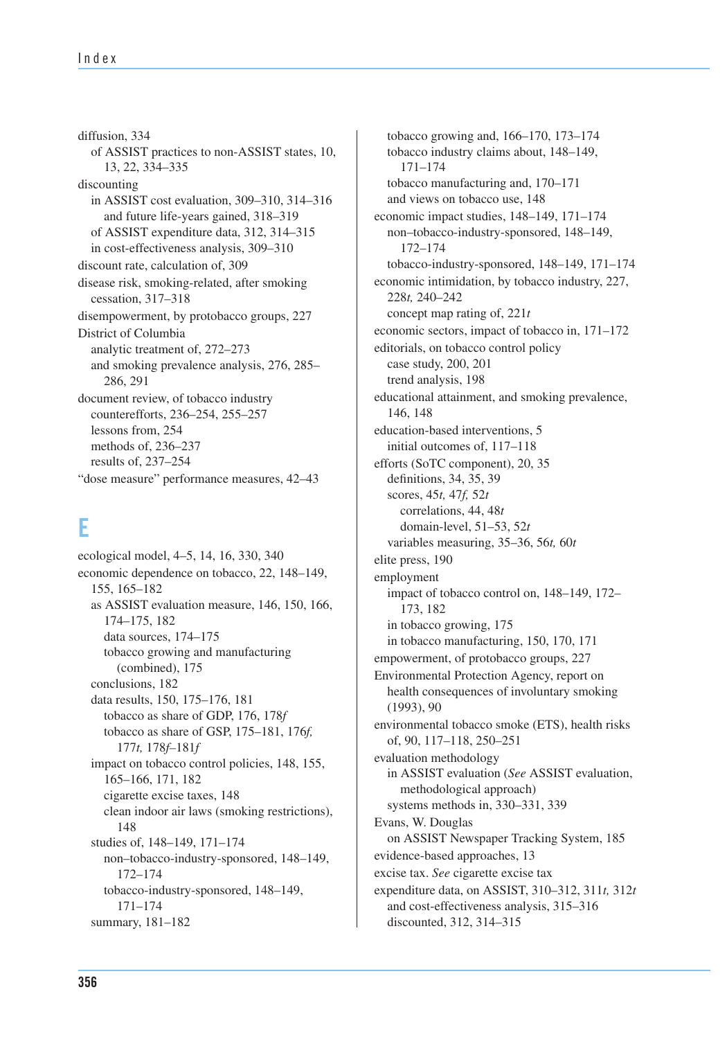diffusion, 334 of ASSIST practices to non-ASSIST states, 10, 13, 22, 334–335 discounting in ASSIST cost evaluation, 309–310, 314–316 and future life-years gained, 318–319 of ASSIST expenditure data, 312, 314–315 in cost-effectiveness analysis, 309–310 discount rate, calculation of, 309 disease risk, smoking-related, after smoking cessation, 317–318 disempowerment, by protobacco groups, 227 District of Columbia analytic treatment of, 272–273 and smoking prevalence analysis, 276, 285– 286, 291 document review, of tobacco industry counterefforts, 236–254, 255–257 lessons from, 254 methods of, 236–237 results of, 237–254 "dose measure" performance measures, 42–43

## **E**

ecological model, 4–5, 14, 16, 330, 340 economic dependence on tobacco, 22, 148–149, 155, 165–182 as ASSIST evaluation measure, 146, 150, 166, 174–175, 182 data sources, 174–175 tobacco growing and manufacturing (combined), 175 conclusions, 182 data results, 150, 175–176, 181 tobacco as share of GDP, 176, 178*f*  tobacco as share of GSP, 175–181, 176*f,*  177*t,* 178*f–*181*f*  impact on tobacco control policies, 148, 155, 165–166, 171, 182 cigarette excise taxes, 148 clean indoor air laws (smoking restrictions), 148 studies of, 148–149, 171–174 non–tobacco-industry-sponsored, 148–149, 172–174 tobacco-industry-sponsored, 148–149, 171–174 summary, 181–182

tobacco growing and, 166–170, 173–174 tobacco industry claims about, 148–149, 171–174 tobacco manufacturing and, 170–171 and views on tobacco use, 148 economic impact studies, 148–149, 171–174 non–tobacco-industry-sponsored, 148–149, 172–174 tobacco-industry-sponsored, 148–149, 171–174 economic intimidation, by tobacco industry, 227, 228*t,* 240–242 concept map rating of, 221*t* economic sectors, impact of tobacco in, 171–172 editorials, on tobacco control policy case study, 200, 201 trend analysis, 198 educational attainment, and smoking prevalence, 146, 148 education-based interventions, 5 initial outcomes of, 117–118 efforts (SoTC component), 20, 35 definitions, 34, 35, 39 scores, 45*t,* 47*f,* 52*t* correlations, 44, 48*t* domain-level, 51–53, 52*t* variables measuring, 35–36, 56*t,* 60*t* elite press, 190 employment impact of tobacco control on, 148–149, 172– 173, 182 in tobacco growing, 175 in tobacco manufacturing, 150, 170, 171 empowerment, of protobacco groups, 227 Environmental Protection Agency, report on health consequences of involuntary smoking (1993), 90 environmental tobacco smoke (ETS), health risks of, 90, 117–118, 250–251 evaluation methodology in ASSIST evaluation (*See* ASSIST evaluation, methodological approach) systems methods in, 330–331, 339 Evans, W. Douglas on ASSIST Newspaper Tracking System, 185 evidence-based approaches, 13 excise tax. *See* cigarette excise tax expenditure data, on ASSIST, 310–312, 311*t,* 312*t* and cost-effectiveness analysis, 315–316 discounted, 312, 314–315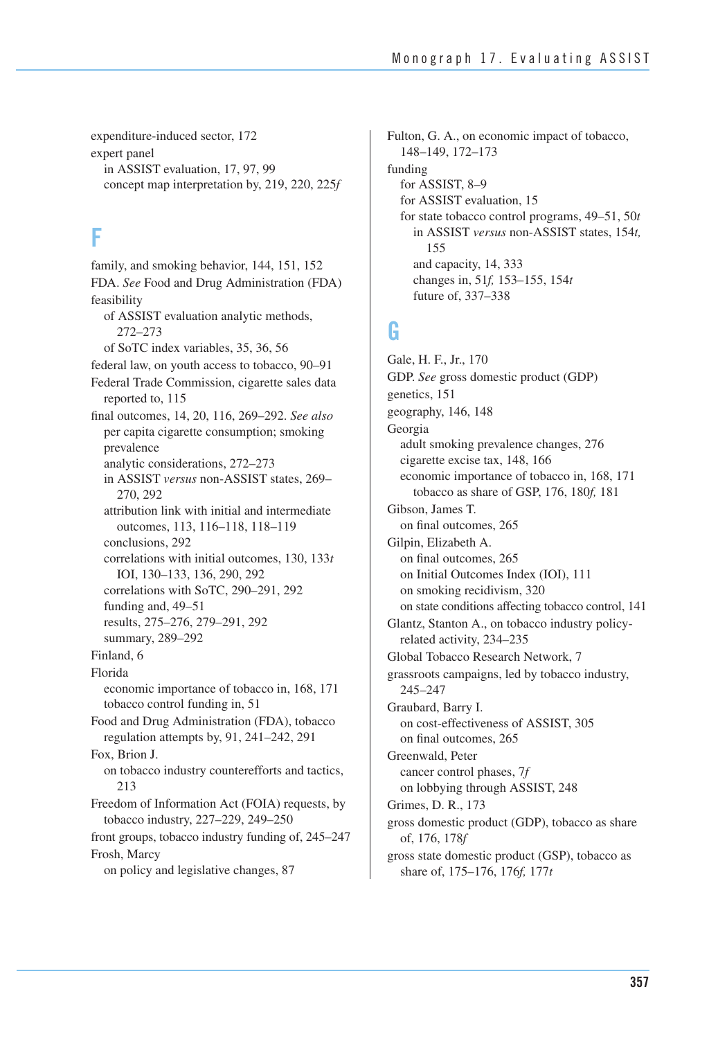expenditure-induced sector, 172 expert panel in ASSIST evaluation, 17, 97, 99 concept map interpretation by, 219, 220, 225*f* 

## **F**

 front groups, tobacco industry funding of, 245–247 family, and smoking behavior, 144, 151, 152 FDA. *See* Food and Drug Administration (FDA) feasibility of ASSIST evaluation analytic methods, 272–273 of SoTC index variables, 35, 36, 56 federal law, on youth access to tobacco, 90–91 Federal Trade Commission, cigarette sales data reported to, 115 final outcomes, 14, 20, 116, 269–292. *See also* per capita cigarette consumption; smoking prevalence analytic considerations, 272–273 in ASSIST *versus* non-ASSIST states, 269– 270, 292 attribution link with initial and intermediate outcomes, 113, 116–118, 118–119 conclusions, 292 correlations with initial outcomes, 130, 133*t* IOI, 130–133, 136, 290, 292 correlations with SoTC, 290–291, 292 funding and, 49–51 results, 275–276, 279–291, 292 summary, 289–292 Finland, 6 Florida economic importance of tobacco in, 168, 171 tobacco control funding in, 51 Food and Drug Administration (FDA), tobacco regulation attempts by, 91, 241–242, 291 Fox, Brion J. on tobacco industry counterefforts and tactics, 213 Freedom of Information Act (FOIA) requests, by tobacco industry, 227–229, 249–250 Frosh, Marcy on policy and legislative changes, 87

Fulton, G. A., on economic impact of tobacco, 148–149, 172–173 funding for ASSIST, 8–9 for ASSIST evaluation, 15 for state tobacco control programs, 49–51, 50*t* in ASSIST *versus* non-ASSIST states, 154*t,*  155 and capacity, 14, 333 changes in, 51*f,* 153–155, 154*t* future of, 337–338

#### **G**

 on state conditions affecting tobacco control, 141 Gale, H. F., Jr., 170 GDP. *See* gross domestic product (GDP) genetics, 151 geography, 146, 148 Georgia adult smoking prevalence changes, 276 cigarette excise tax, 148, 166 economic importance of tobacco in, 168, 171 tobacco as share of GSP, 176, 180*f,* 181 Gibson, James T. on final outcomes, 265 Gilpin, Elizabeth A. on final outcomes, 265 on Initial Outcomes Index (IOI), 111 on smoking recidivism, 320 Glantz, Stanton A., on tobacco industry policyrelated activity, 234–235 Global Tobacco Research Network, 7 grassroots campaigns, led by tobacco industry, 245–247 Graubard, Barry I. on cost-effectiveness of ASSIST, 305 on final outcomes, 265 Greenwald, Peter cancer control phases, 7*f* on lobbying through ASSIST, 248 Grimes, D. R., 173 gross domestic product (GDP), tobacco as share of, 176, 178*f* gross state domestic product (GSP), tobacco as share of, 175–176, 176*f,* 177*t*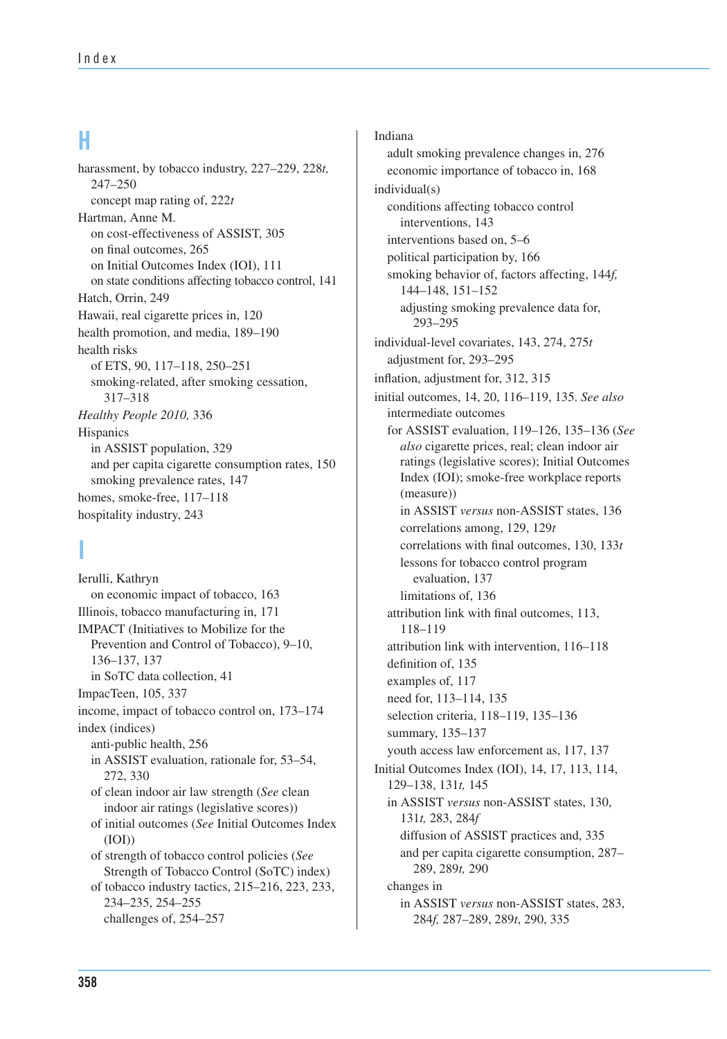#### **H**

 on state conditions affecting tobacco control, 141 harassment, by tobacco industry, 227–229, 228*t,*  247–250 concept map rating of, 222*t*  Hartman, Anne M. on cost-effectiveness of ASSIST, 305 on final outcomes, 265 on Initial Outcomes Index (IOI), 111 Hatch, Orrin, 249 Hawaii, real cigarette prices in, 120 health promotion, and media, 189–190 health risks of ETS, 90, 117–118, 250–251 smoking-related, after smoking cessation, 317–318 *Healthy People 2010,* 336 **Hispanics** in ASSIST population, 329 and per capita cigarette consumption rates, 150 smoking prevalence rates, 147 homes, smoke-free, 117–118 hospitality industry, 243

### **I**

Ierulli, Kathryn on economic impact of tobacco, 163 Illinois, tobacco manufacturing in, 171 IMPACT (Initiatives to Mobilize for the Prevention and Control of Tobacco), 9–10, 136–137, 137 in SoTC data collection, 41 ImpacTeen, 105, 337 income, impact of tobacco control on, 173–174 index (indices) anti-public health, 256 in ASSIST evaluation, rationale for, 53–54, 272, 330 of clean indoor air law strength (*See* clean indoor air ratings (legislative scores)) of initial outcomes (*See* Initial Outcomes Index (IOI)) of strength of tobacco control policies (*See* Strength of Tobacco Control (SoTC) index) of tobacco industry tactics, 215–216, 223, 233, 234–235, 254–255 challenges of, 254–257

Indiana adult smoking prevalence changes in, 276 economic importance of tobacco in, 168 individual(s) conditions affecting tobacco control interventions, 143 interventions based on, 5–6 political participation by, 166 smoking behavior of, factors affecting, 144*f,* 144–148, 151–152 adjusting smoking prevalence data for, 293–295 individual-level covariates, 143, 274, 275*t* adjustment for, 293–295 inflation, adjustment for, 312, 315 initial outcomes, 14, 20, 116–119, 135. *See also* intermediate outcomes for ASSIST evaluation, 119–126, 135–136 (*See also* cigarette prices, real; clean indoor air ratings (legislative scores); Initial Outcomes Index (IOI); smoke-free workplace reports (measure)) in ASSIST *versus* non-ASSIST states, 136 correlations among, 129, 129*t* correlations with final outcomes, 130, 133*t* lessons for tobacco control program evaluation, 137 limitations of, 136 attribution link with final outcomes, 113, 118–119 attribution link with intervention, 116–118 definition of, 135 examples of, 117 need for, 113–114, 135 selection criteria, 118–119, 135–136 summary, 135–137 youth access law enforcement as, 117, 137 Initial Outcomes Index (IOI), 14, 17, 113, 114, 129–138, 131*t,* 145 in ASSIST *versus* non-ASSIST states, 130, 131*t,* 283, 284*f* diffusion of ASSIST practices and, 335 and per capita cigarette consumption, 287– 289, 289*t,* 290 changes in in ASSIST *versus* non-ASSIST states, 283, 284*f,* 287–289, 289*t*, 290, 335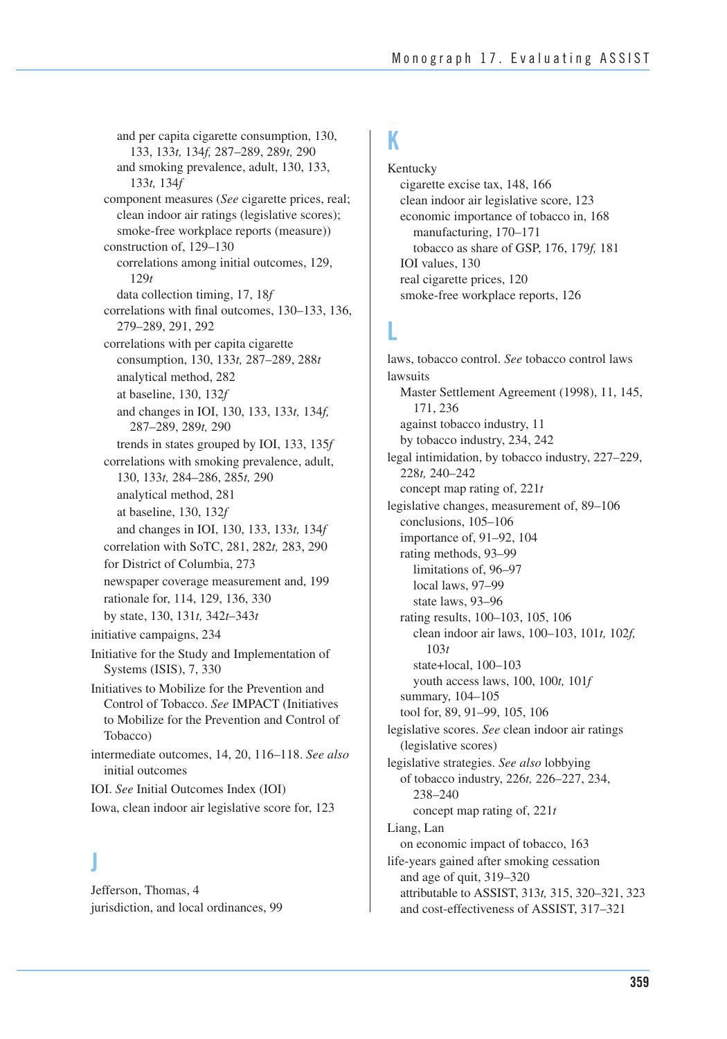and per capita cigarette consumption, 130, 133, 133*t,* 134*f,* 287–289, 289*t,* 290 and smoking prevalence, adult, 130, 133, 133*t,* 134*f*  component measures (*See* cigarette prices, real; clean indoor air ratings (legislative scores); smoke-free workplace reports (measure)) construction of, 129–130 correlations among initial outcomes, 129, 129*t*  data collection timing, 17, 18*f*  correlations with final outcomes, 130–133, 136, 279–289, 291, 292 correlations with per capita cigarette consumption, 130, 133*t,* 287–289, 288*t*  analytical method, 282 at baseline, 130, 132*f*  and changes in IOI, 130, 133, 133*t,* 134*f,*  287–289, 289*t,* 290 trends in states grouped by IOI, 133, 135*f*  correlations with smoking prevalence, adult, 130, 133*t,* 284–286, 285*t,* 290 analytical method, 281 at baseline, 130, 132*f*  and changes in IOI, 130, 133, 133*t,* 134*f*  correlation with SoTC, 281, 282*t,* 283, 290 for District of Columbia, 273 newspaper coverage measurement and, 199 rationale for, 114, 129, 136, 330 by state, 130, 131*t,* 342*t*–343*t*  initiative campaigns, 234 Initiative for the Study and Implementation of Systems (ISIS), 7, 330 Initiatives to Mobilize for the Prevention and Control of Tobacco. *See* IMPACT (Initiatives to Mobilize for the Prevention and Control of Tobacco) intermediate outcomes, 14, 20, 116–118. *See also*  initial outcomes IOI. *See* Initial Outcomes Index (IOI) Iowa, clean indoor air legislative score for, 123

#### **J**

Jefferson, Thomas, 4 jurisdiction, and local ordinances, 99

#### **K**

Kentucky cigarette excise tax, 148, 166 clean indoor air legislative score, 123 economic importance of tobacco in, 168 manufacturing, 170–171 tobacco as share of GSP, 176, 179*f,* 181 IOI values, 130 real cigarette prices, 120 smoke-free workplace reports, 126

#### **L**

 attributable to ASSIST, 313*t,* 315, 320–321, 323 laws, tobacco control. *See* tobacco control laws lawsuits Master Settlement Agreement (1998), 11, 145, 171, 236 against tobacco industry, 11 by tobacco industry, 234, 242 legal intimidation, by tobacco industry, 227–229, 228*t,* 240–242 concept map rating of, 221*t*  legislative changes, measurement of, 89–106 conclusions, 105–106 importance of, 91–92, 104 rating methods, 93–99 limitations of, 96–97 local laws, 97–99 state laws, 93–96 rating results, 100–103, 105, 106 clean indoor air laws, 100–103, 101*t,* 102*f,*  103*t* state+local, 100–103 youth access laws, 100, 100*t,* 101*f* summary, 104–105 tool for, 89, 91–99, 105, 106 legislative scores. *See* clean indoor air ratings (legislative scores) legislative strategies. *See also* lobbying of tobacco industry, 226*t,* 226–227, 234, 238–240 concept map rating of, 221*t* Liang, Lan on economic impact of tobacco, 163 life-years gained after smoking cessation and age of quit, 319–320 and cost-effectiveness of ASSIST, 317–321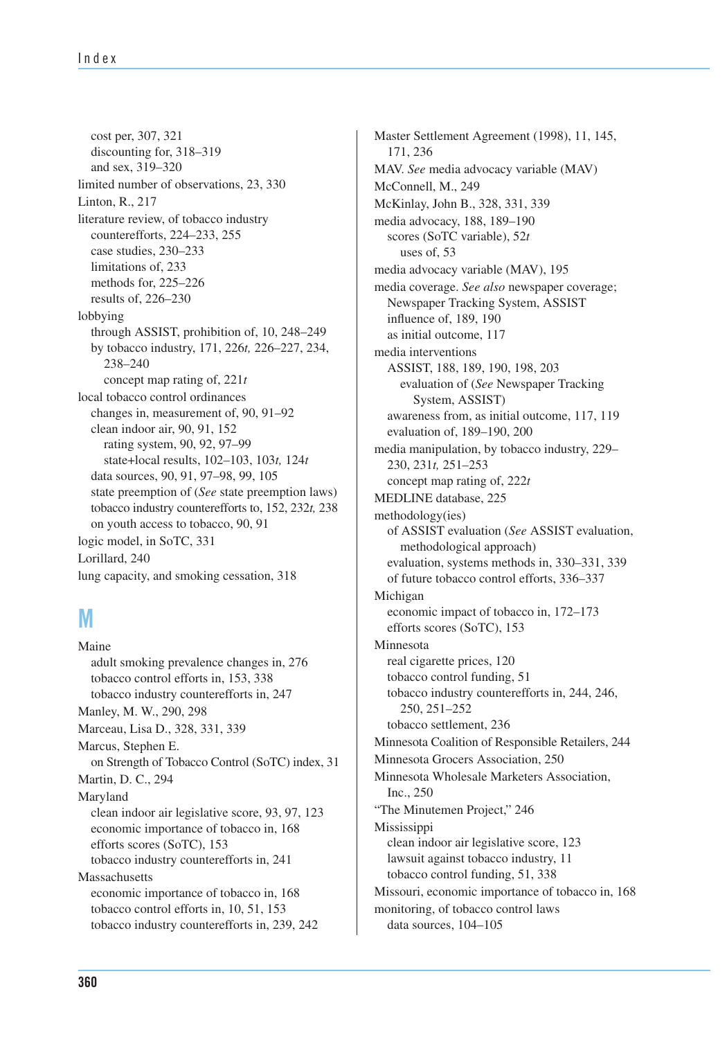tobacco industry counterefforts to, 152, 232*t,* 238 cost per, 307, 321 discounting for, 318–319 and sex, 319–320 limited number of observations, 23, 330 Linton, R., 217 literature review, of tobacco industry counterefforts, 224–233, 255 case studies, 230–233 limitations of, 233 methods for, 225–226 results of, 226–230 lobbying through ASSIST, prohibition of, 10, 248–249 by tobacco industry, 171, 226*t,* 226–227, 234, 238–240 concept map rating of, 221*t* local tobacco control ordinances changes in, measurement of, 90, 91–92 clean indoor air, 90, 91, 152 rating system, 90, 92, 97–99 state+local results, 102–103, 103*t,* 124*t* data sources, 90, 91, 97–98, 99, 105 state preemption of (*See* state preemption laws) on youth access to tobacco, 90, 91 logic model, in SoTC, 331 Lorillard, 240 lung capacity, and smoking cessation, 318

### **M**

 on Strength of Tobacco Control (SoTC) index, 31 Maine adult smoking prevalence changes in, 276 tobacco control efforts in, 153, 338 tobacco industry counterefforts in, 247 Manley, M. W., 290, 298 Marceau, Lisa D., 328, 331, 339 Marcus, Stephen E. Martin, D. C., 294 Maryland clean indoor air legislative score, 93, 97, 123 economic importance of tobacco in, 168 efforts scores (SoTC), 153 tobacco industry counterefforts in, 241 Massachusetts economic importance of tobacco in, 168 tobacco control efforts in, 10, 51, 153 tobacco industry counterefforts in, 239, 242

 Minnesota Coalition of Responsible Retailers, 244 Master Settlement Agreement (1998), 11, 145, 171, 236 MAV. *See* media advocacy variable (MAV) McConnell, M., 249 McKinlay, John B., 328, 331, 339 media advocacy, 188, 189–190 scores (SoTC variable), 52*t*  uses of, 53 media advocacy variable (MAV), 195 media coverage. *See also* newspaper coverage; Newspaper Tracking System, ASSIST influence of, 189, 190 as initial outcome, 117 media interventions ASSIST, 188, 189, 190, 198, 203 evaluation of (*See* Newspaper Tracking System, ASSIST) awareness from, as initial outcome, 117, 119 evaluation of, 189–190, 200 media manipulation, by tobacco industry, 229– 230, 231*t,* 251–253 concept map rating of, 222*t*  MEDLINE database, 225 methodology(ies) of ASSIST evaluation (*See* ASSIST evaluation, methodological approach) evaluation, systems methods in, 330–331, 339 of future tobacco control efforts, 336–337 Michigan economic impact of tobacco in, 172–173 efforts scores (SoTC), 153 Minnesota real cigarette prices, 120 tobacco control funding, 51 tobacco industry counterefforts in, 244, 246, 250, 251–252 tobacco settlement, 236 Minnesota Grocers Association, 250 Minnesota Wholesale Marketers Association, Inc., 250 "The Minutemen Project," 246 Mississippi clean indoor air legislative score, 123 lawsuit against tobacco industry, 11 tobacco control funding, 51, 338 Missouri, economic importance of tobacco in, 168 monitoring, of tobacco control laws data sources, 104–105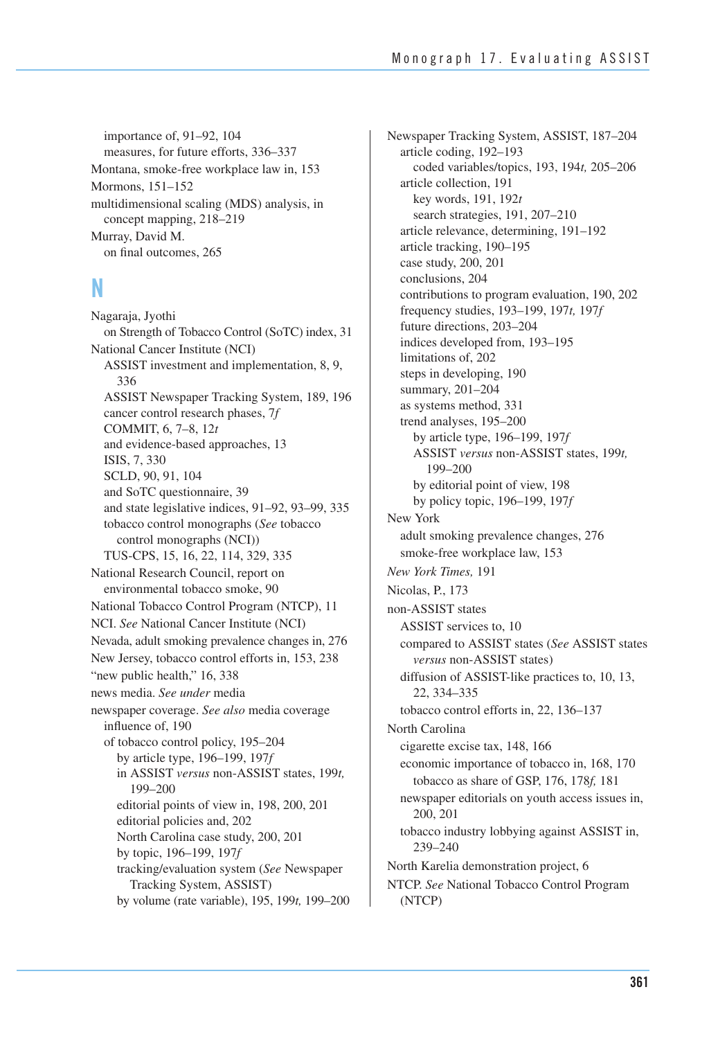importance of, 91–92, 104 measures, for future efforts, 336–337 Montana, smoke-free workplace law in, 153 Mormons, 151–152 multidimensional scaling (MDS) analysis, in concept mapping, 218–219 Murray, David M. on final outcomes, 265

#### **N**

 on Strength of Tobacco Control (SoTC) index, 31 Nevada, adult smoking prevalence changes in, 276 by volume (rate variable), 195, 199*t,* 199–200 Nagaraja, Jyothi National Cancer Institute (NCI) ASSIST investment and implementation, 8, 9, 336 ASSIST Newspaper Tracking System, 189, 196 cancer control research phases, 7*f* COMMIT, 6, 7–8, 12*t* and evidence-based approaches, 13 ISIS, 7, 330 SCLD, 90, 91, 104 and SoTC questionnaire, 39 and state legislative indices, 91–92, 93–99, 335 tobacco control monographs (*See* tobacco control monographs (NCI)) TUS-CPS, 15, 16, 22, 114, 329, 335 National Research Council, report on environmental tobacco smoke, 90 National Tobacco Control Program (NTCP), 11 NCI. *See* National Cancer Institute (NCI) New Jersey, tobacco control efforts in, 153, 238 "new public health," 16, 338 news media. *See under* media newspaper coverage. *See also* media coverage influence of, 190 of tobacco control policy, 195–204 by article type, 196–199, 197*f*  in ASSIST *versus* non-ASSIST states, 199*t,*  199–200 editorial points of view in, 198, 200, 201 editorial policies and, 202 North Carolina case study, 200, 201 by topic, 196–199, 197*f* tracking/evaluation system (*See* Newspaper Tracking System, ASSIST)

Newspaper Tracking System, ASSIST, 187–204 article coding, 192–193 coded variables/topics, 193, 194*t,* 205–206 article collection, 191 key words, 191, 192*t* search strategies, 191, 207–210 article relevance, determining, 191–192 article tracking, 190–195 case study, 200, 201 conclusions, 204 contributions to program evaluation, 190, 202 frequency studies, 193–199, 197*t,* 197*f* future directions, 203–204 indices developed from, 193–195 limitations of, 202 steps in developing, 190 summary, 201–204 as systems method, 331 trend analyses, 195–200 by article type, 196–199, 197*f*  ASSIST *versus* non-ASSIST states, 199*t,*  199–200 by editorial point of view, 198 by policy topic, 196–199, 197*f* New York adult smoking prevalence changes, 276 smoke-free workplace law, 153 *New York Times,* 191 Nicolas, P., 173 non-ASSIST states ASSIST services to, 10 compared to ASSIST states (*See* ASSIST states *versus* non-ASSIST states) diffusion of ASSIST-like practices to, 10, 13, 22, 334–335 tobacco control efforts in, 22, 136–137 North Carolina cigarette excise tax, 148, 166 economic importance of tobacco in, 168, 170 tobacco as share of GSP, 176, 178*f,* 181 newspaper editorials on youth access issues in, 200, 201 tobacco industry lobbying against ASSIST in, 239–240 North Karelia demonstration project, 6 NTCP. *See* National Tobacco Control Program (NTCP)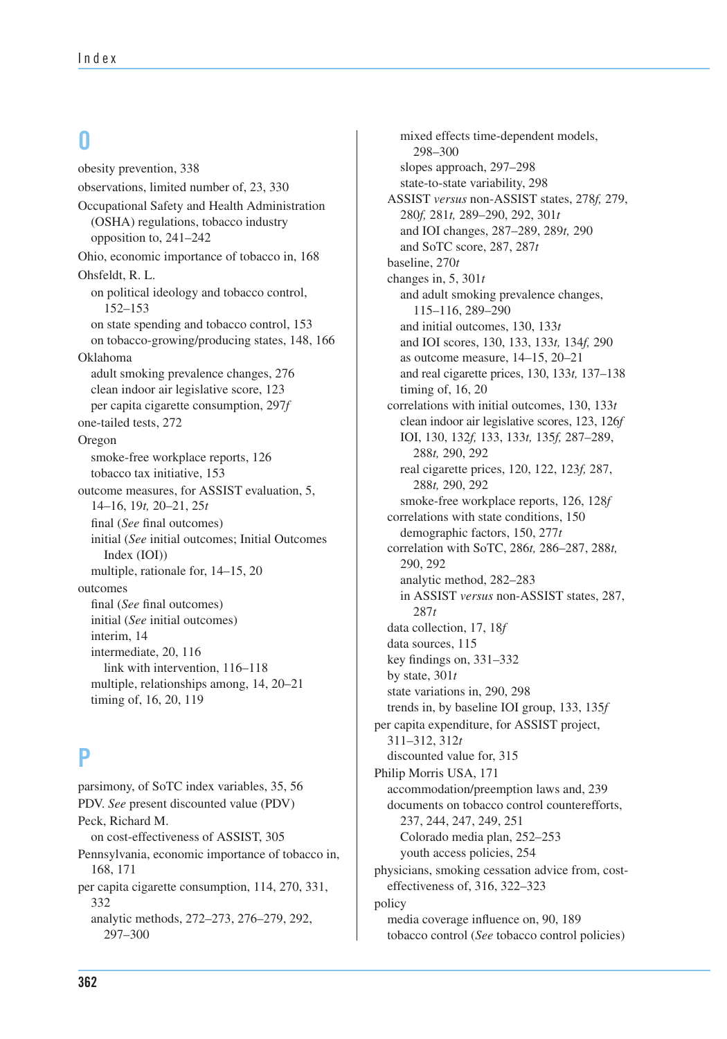#### **O**

obesity prevention, 338 observations, limited number of, 23, 330 Occupational Safety and Health Administration (OSHA) regulations, tobacco industry opposition to, 241–242 Ohio, economic importance of tobacco in, 168 Ohsfeldt, R. L. on political ideology and tobacco control, 152–153 on state spending and tobacco control, 153 on tobacco-growing/producing states, 148, 166 Oklahoma adult smoking prevalence changes, 276 clean indoor air legislative score, 123 per capita cigarette consumption, 297*f* one-tailed tests, 272 Oregon smoke-free workplace reports, 126 tobacco tax initiative, 153 outcome measures, for ASSIST evaluation, 5, 14–16, 19*t,* 20–21, 25*t*  final (*See* final outcomes) initial (*See* initial outcomes; Initial Outcomes Index (IOI)) multiple, rationale for, 14–15, 20 outcomes final (*See* final outcomes) initial (*See* initial outcomes) interim, 14 intermediate, 20, 116 link with intervention, 116–118 multiple, relationships among, 14, 20–21 timing of, 16, 20, 119

#### **P**

parsimony, of SoTC index variables, 35, 56 PDV. *See* present discounted value (PDV) Peck, Richard M. on cost-effectiveness of ASSIST, 305 Pennsylvania, economic importance of tobacco in, 168, 171 per capita cigarette consumption, 114, 270, 331, analytic methods, 272–273, 276–279, 292, 297–300 332

 and real cigarette prices, 130, 133*t,* 137–138 clean indoor air legislative scores, 123, 126*f*  mixed effects time-dependent models, 298–300 slopes approach, 297–298 state-to-state variability, 298 ASSIST *versus* non-ASSIST states, 278*f,* 279, 280*f,* 281*t,* 289–290, 292, 301*t* and IOI changes, 287–289, 289*t,* 290 and SoTC score, 287, 287*t* baseline, 270*t*  changes in, 5, 301*t*  and adult smoking prevalence changes, 115–116, 289–290 and initial outcomes, 130, 133*t* and IOI scores, 130, 133, 133*t,* 134*f,* 290 as outcome measure, 14–15, 20–21 timing of, 16, 20 correlations with initial outcomes, 130, 133*t*  IOI, 130, 132*f,* 133, 133*t,* 135*f,* 287–289, 288*t,* 290, 292 real cigarette prices, 120, 122, 123*f,* 287, 288*t,* 290, 292 smoke-free workplace reports, 126, 128*f* correlations with state conditions, 150 demographic factors, 150, 277*t* correlation with SoTC, 286*t,* 286–287, 288*t,* 290, 292 analytic method, 282–283 in ASSIST *versus* non-ASSIST states, 287, 287*t* data collection, 17, 18*f* data sources, 115 key findings on, 331–332 by state, 301*t* state variations in, 290, 298 trends in, by baseline IOI group, 133, 135*f* per capita expenditure, for ASSIST project, 311–312, 312*t* discounted value for, 315 Philip Morris USA, 171 accommodation/preemption laws and, 239 documents on tobacco control counterefforts, 237, 244, 247, 249, 251 Colorado media plan, 252–253 youth access policies, 254 physicians, smoking cessation advice from, costeffectiveness of, 316, 322–323 policy media coverage influence on, 90, 189 tobacco control (*See* tobacco control policies)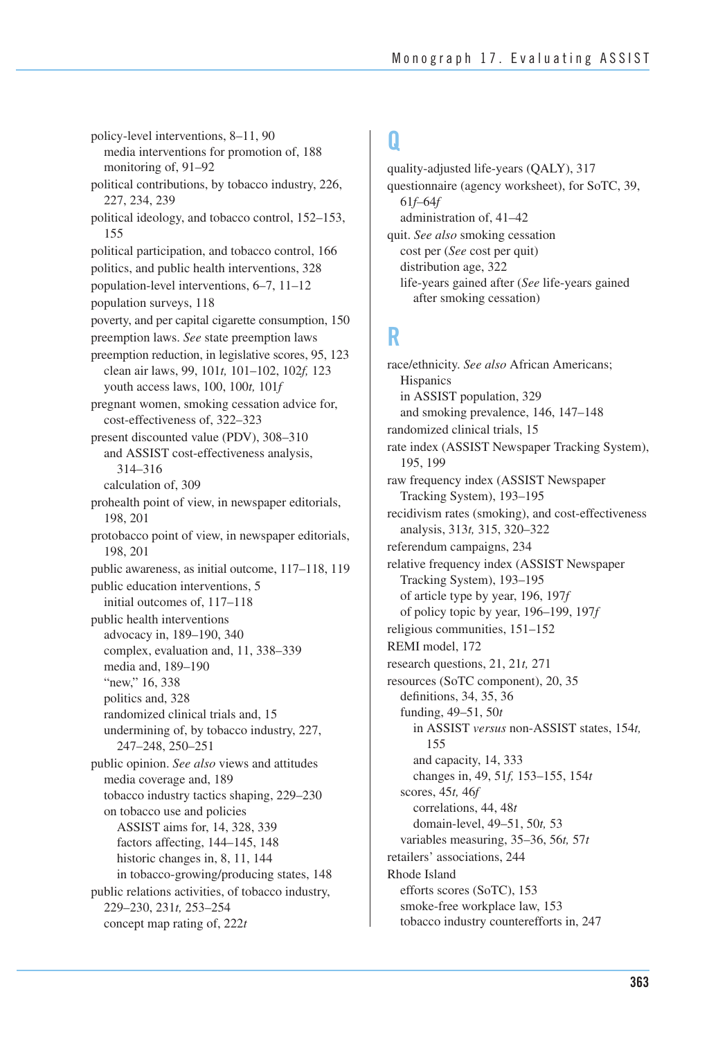poverty, and per capital cigarette consumption, 150 preemption reduction, in legislative scores, 95, 123 public awareness, as initial outcome, 117–118, 119 155 policy-level interventions, 8–11, 90 media interventions for promotion of, 188 monitoring of, 91–92 political contributions, by tobacco industry, 226, 227, 234, 239 political ideology, and tobacco control, 152–153, political participation, and tobacco control, 166 politics, and public health interventions, 328 population-level interventions, 6–7, 11–12 population surveys, 118 preemption laws. *See* state preemption laws clean air laws, 99, 101*t,* 101–102, 102*f,* 123 youth access laws, 100, 100*t,* 101*f*  pregnant women, smoking cessation advice for, cost-effectiveness of, 322–323 present discounted value (PDV), 308–310 and ASSIST cost-effectiveness analysis, 314–316 calculation of, 309 prohealth point of view, in newspaper editorials, 198, 201 protobacco point of view, in newspaper editorials, 198, 201 public education interventions, 5 initial outcomes of, 117–118 public health interventions advocacy in, 189–190, 340 complex, evaluation and, 11, 338–339 media and, 189–190 "new," 16, 338 politics and, 328 randomized clinical trials and, 15 undermining of, by tobacco industry, 227, 247–248, 250–251 public opinion. *See also* views and attitudes media coverage and, 189 tobacco industry tactics shaping, 229–230 on tobacco use and policies ASSIST aims for, 14, 328, 339 factors affecting, 144–145, 148 historic changes in, 8, 11, 144 in tobacco-growing/producing states, 148 public relations activities, of tobacco industry, 229–230, 231*t,* 253–254 concept map rating of, 222*t* 

### **Q**

quality-adjusted life-years (QALY), 317 questionnaire (agency worksheet), for SoTC, 39, 61*f–*64*f*  administration of, 41–42 quit. *See also* smoking cessation cost per (*See* cost per quit) distribution age, 322 life-years gained after (*See* life-years gained after smoking cessation)

### **R**

race/ethnicity. *See also* African Americans; **Hispanics** in ASSIST population, 329 and smoking prevalence, 146, 147–148 randomized clinical trials, 15 rate index (ASSIST Newspaper Tracking System), 195, 199 raw frequency index (ASSIST Newspaper Tracking System), 193–195 recidivism rates (smoking), and cost-effectiveness analysis, 313*t,* 315, 320–322 referendum campaigns, 234 relative frequency index (ASSIST Newspaper Tracking System), 193–195 of article type by year, 196, 197*f* of policy topic by year, 196–199, 197*f* religious communities, 151–152 REMI model, 172 research questions, 21, 21*t,* 271 resources (SoTC component), 20, 35 definitions, 34, 35, 36 funding, 49–51, 50*t*  in ASSIST *versus* non-ASSIST states, 154*t,*  155 and capacity, 14, 333 changes in, 49, 51*f,* 153–155, 154*t* scores, 45*t,* 46*f* correlations, 44, 48*t* domain-level, 49–51, 50*t,* 53 variables measuring, 35–36, 56*t,* 57*t*  retailers' associations, 244 Rhode Island efforts scores (SoTC), 153 smoke-free workplace law, 153 tobacco industry counterefforts in, 247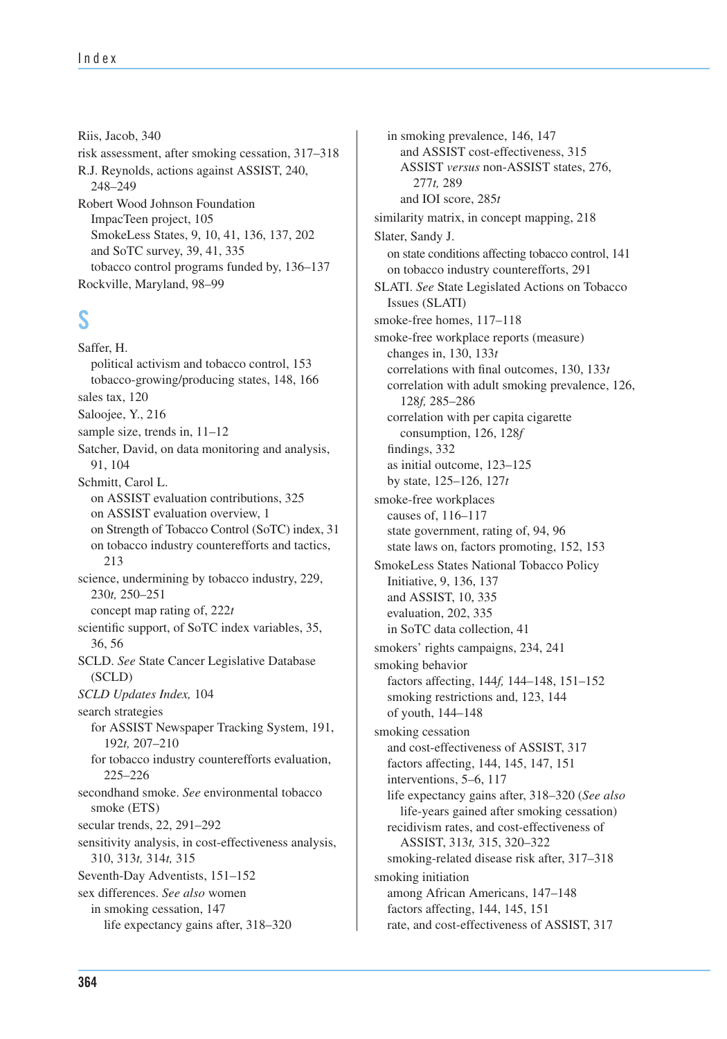Riis, Jacob, 340 risk assessment, after smoking cessation, 317–318 R.J. Reynolds, actions against ASSIST, 240, 248–249 Robert Wood Johnson Foundation ImpacTeen project, 105 SmokeLess States, 9, 10, 41, 136, 137, 202 and SoTC survey, 39, 41, 335 tobacco control programs funded by, 136–137 Rockville, Maryland, 98–99

#### **S**

 on Strength of Tobacco Control (SoTC) index, 31 Saffer, H. political activism and tobacco control, 153 tobacco-growing/producing states, 148, 166 sales tax, 120 Saloojee, Y., 216 sample size, trends in, 11–12 Satcher, David, on data monitoring and analysis, 91, 104 Schmitt, Carol L. on ASSIST evaluation contributions, 325 on ASSIST evaluation overview, 1 on tobacco industry counterefforts and tactics, 213 science, undermining by tobacco industry, 229, 230*t,* 250–251 concept map rating of, 222*t* scientific support, of SoTC index variables, 35, 36, 56 SCLD. *See* State Cancer Legislative Database (SCLD) *SCLD Updates Index,* 104 search strategies for ASSIST Newspaper Tracking System, 191, 192*t,* 207–210 for tobacco industry counterefforts evaluation, 225–226 secondhand smoke. *See* environmental tobacco smoke (ETS) secular trends, 22, 291–292 sensitivity analysis, in cost-effectiveness analysis, 310, 313*t,* 314*t,* 315 Seventh-Day Adventists, 151–152 sex differences. *See also* women in smoking cessation, 147 life expectancy gains after, 318–320

 on state conditions affecting tobacco control, 141 in smoking prevalence, 146, 147 and ASSIST cost-effectiveness, 315 ASSIST *versus* non-ASSIST states, 276, 277*t,* 289 and IOI score, 285*t* similarity matrix, in concept mapping, 218 Slater, Sandy J. on tobacco industry counterefforts, 291 SLATI. *See* State Legislated Actions on Tobacco Issues (SLATI) smoke-free homes, 117–118 smoke-free workplace reports (measure) changes in, 130, 133*t* correlations with final outcomes, 130, 133*t* correlation with adult smoking prevalence, 126, 128*f,* 285–286 correlation with per capita cigarette consumption, 126, 128*f* findings, 332 as initial outcome, 123–125 by state, 125–126, 127*t* smoke-free workplaces causes of, 116–117 state government, rating of, 94, 96 state laws on, factors promoting, 152, 153 SmokeLess States National Tobacco Policy Initiative, 9, 136, 137 and ASSIST, 10, 335 evaluation, 202, 335 in SoTC data collection, 41 smokers' rights campaigns, 234, 241 smoking behavior factors affecting, 144*f,* 144–148, 151–152 smoking restrictions and, 123, 144 of youth, 144–148 smoking cessation and cost-effectiveness of ASSIST, 317 factors affecting, 144, 145, 147, 151 interventions, 5–6, 117 life expectancy gains after, 318–320 (*See also* life-years gained after smoking cessation) recidivism rates, and cost-effectiveness of ASSIST, 313*t,* 315, 320–322 smoking-related disease risk after, 317–318 smoking initiation among African Americans, 147–148 factors affecting, 144, 145, 151 rate, and cost-effectiveness of ASSIST, 317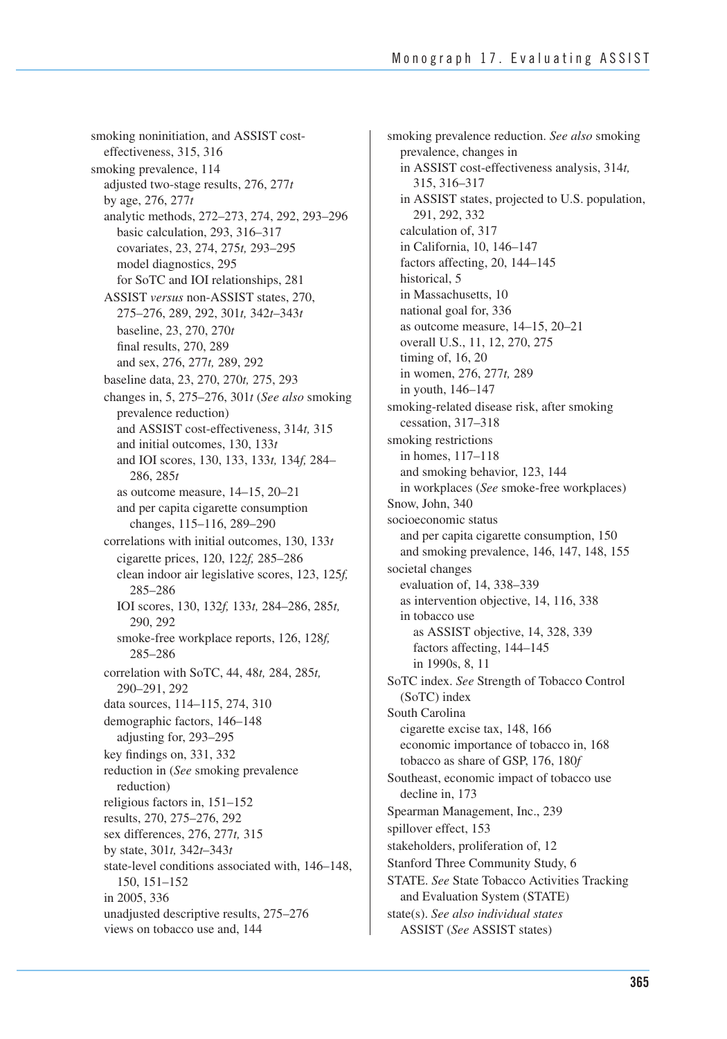smoking noninitiation, and ASSIST costeffectiveness, 315, 316 smoking prevalence, 114 adjusted two-stage results, 276, 277*t* by age, 276, 277*t* analytic methods, 272–273, 274, 292, 293–296 basic calculation, 293, 316–317 covariates, 23, 274, 275*t,* 293–295 model diagnostics, 295 for SoTC and IOI relationships, 281 ASSIST *versus* non-ASSIST states, 270, 275–276, 289, 292, 301*t,* 342*t*–343*t* baseline, 23, 270, 270*t* final results, 270, 289 and sex, 276, 277*t,* 289, 292 baseline data, 23, 270, 270*t,* 275, 293 changes in, 5, 275–276, 301*t* (*See also* smoking prevalence reduction) and ASSIST cost-effectiveness, 314*t,* 315 and initial outcomes, 130, 133*t* and IOI scores, 130, 133, 133*t,* 134*f,* 284– 286, 285*t*  as outcome measure, 14–15, 20–21 and per capita cigarette consumption changes, 115–116, 289–290 correlations with initial outcomes, 130, 133*t*  cigarette prices, 120, 122*f,* 285–286 clean indoor air legislative scores, 123, 125*f,*  285–286 IOI scores, 130, 132*f,* 133*t,* 284–286, 285*t,* 290, 292 smoke-free workplace reports, 126, 128*f,* 285–286 correlation with SoTC, 44, 48*t,* 284, 285*t,* 290–291, 292 data sources, 114–115, 274, 310 demographic factors, 146–148 adjusting for, 293–295 key findings on, 331, 332 reduction in (*See* smoking prevalence reduction) religious factors in, 151–152 results, 270, 275–276, 292 sex differences, 276, 277*t,* 315 by state, 301*t,* 342*t*–343*t* state-level conditions associated with, 146–148, 150, 151–152 in 2005, 336 unadjusted descriptive results, 275–276 views on tobacco use and, 144

smoking prevalence reduction. *See also* smoking prevalence, changes in in ASSIST cost-effectiveness analysis, 314*t,*  315, 316–317 in ASSIST states, projected to U.S. population, 291, 292, 332 calculation of, 317 in California, 10, 146–147 factors affecting, 20, 144–145 historical, 5 in Massachusetts, 10 national goal for, 336 as outcome measure, 14–15, 20–21 overall U.S., 11, 12, 270, 275 timing of, 16, 20 in women, 276, 277*t,* 289 in youth, 146–147 smoking-related disease risk, after smoking cessation, 317–318 smoking restrictions in homes, 117–118 and smoking behavior, 123, 144 in workplaces (*See* smoke-free workplaces) Snow, John, 340 socioeconomic status and per capita cigarette consumption, 150 and smoking prevalence, 146, 147, 148, 155 societal changes evaluation of, 14, 338–339 as intervention objective, 14, 116, 338 in tobacco use as ASSIST objective, 14, 328, 339 factors affecting, 144–145 in 1990s, 8, 11 SoTC index. *See* Strength of Tobacco Control (SoTC) index South Carolina cigarette excise tax, 148, 166 economic importance of tobacco in, 168 tobacco as share of GSP, 176, 180*f* Southeast, economic impact of tobacco use decline in, 173 Spearman Management, Inc., 239 spillover effect, 153 stakeholders, proliferation of, 12 Stanford Three Community Study, 6 STATE. *See* State Tobacco Activities Tracking and Evaluation System (STATE) state(s). *See also individual states*  ASSIST (*See* ASSIST states)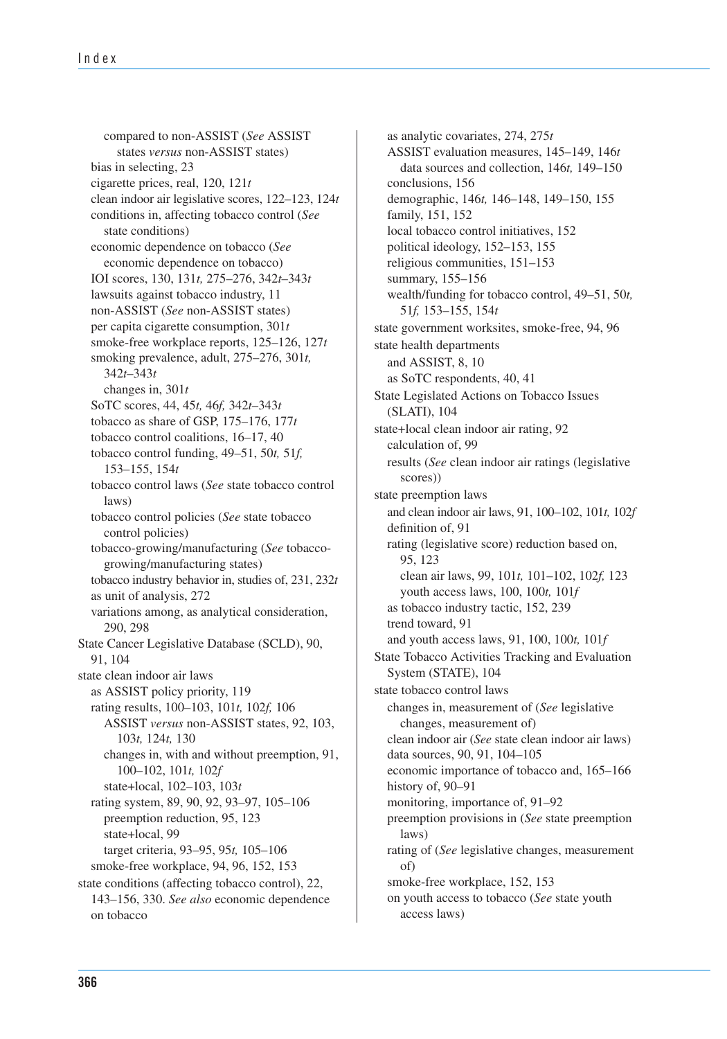clean indoor air legislative scores, 122–123, 124*t*  tobacco industry behavior in, studies of, 231, 232*t* compared to non-ASSIST (*See* ASSIST states *versus* non-ASSIST states) bias in selecting, 23 cigarette prices, real, 120, 121*t* conditions in, affecting tobacco control (*See* state conditions) economic dependence on tobacco (*See* economic dependence on tobacco) IOI scores, 130, 131*t,* 275–276, 342*t*–343*t* lawsuits against tobacco industry, 11 non-ASSIST (*See* non-ASSIST states) per capita cigarette consumption, 301*t* smoke-free workplace reports, 125–126, 127*t* smoking prevalence, adult, 275–276, 301*t,* 342*t*–343*t*  changes in, 301*t* SoTC scores, 44, 45*t,* 46*f,* 342*t*–343*t* tobacco as share of GSP, 175–176, 177*t* tobacco control coalitions, 16–17, 40 tobacco control funding, 49–51, 50*t,* 51*f,* 153–155, 154*t*  tobacco control laws (*See* state tobacco control laws) tobacco control policies (*See* state tobacco control policies) tobacco-growing/manufacturing (*See* tobaccogrowing/manufacturing states) as unit of analysis, 272 variations among, as analytical consideration, 290, 298 State Cancer Legislative Database (SCLD), 90, 91, 104 state clean indoor air laws as ASSIST policy priority, 119 rating results, 100–103, 101*t,* 102*f,* 106 ASSIST *versus* non-ASSIST states, 92, 103, 103*t,* 124*t,* 130 changes in, with and without preemption, 91, 100–102, 101*t,* 102*f* state+local, 102–103, 103*t* rating system, 89, 90, 92, 93–97, 105–106 preemption reduction, 95, 123 state+local, 99 target criteria, 93–95, 95*t,* 105–106 smoke-free workplace, 94, 96, 152, 153 state conditions (affecting tobacco control), 22, 143–156, 330. *See also* economic dependence on tobacco

 and clean indoor air laws, 91, 100–102, 101*t,* 102*f*  clean indoor air (*See* state clean indoor air laws) as analytic covariates, 274, 275*t*  ASSIST evaluation measures, 145–149, 146*t*  data sources and collection, 146*t,* 149–150 conclusions, 156 demographic, 146*t,* 146–148, 149–150, 155 family, 151, 152 local tobacco control initiatives, 152 political ideology, 152–153, 155 religious communities, 151–153 summary, 155–156 wealth/funding for tobacco control, 49–51, 50*t,* 51*f,* 153–155, 154*t* state government worksites, smoke-free, 94, 96 state health departments and ASSIST, 8, 10 as SoTC respondents, 40, 41 State Legislated Actions on Tobacco Issues (SLATI), 104 state+local clean indoor air rating, 92 calculation of, 99 results (*See* clean indoor air ratings (legislative scores)) state preemption laws definition of, 91 rating (legislative score) reduction based on, 95, 123 clean air laws, 99, 101*t,* 101–102, 102*f,* 123 youth access laws, 100, 100*t,* 101*f* as tobacco industry tactic, 152, 239 trend toward, 91 and youth access laws, 91, 100, 100*t,* 101*f*  State Tobacco Activities Tracking and Evaluation System (STATE), 104 state tobacco control laws changes in, measurement of (*See* legislative changes, measurement of) data sources, 90, 91, 104–105 economic importance of tobacco and, 165–166 history of, 90–91 monitoring, importance of, 91–92 preemption provisions in (*See* state preemption laws) rating of (*See* legislative changes, measurement of) smoke-free workplace, 152, 153 on youth access to tobacco (*See* state youth access laws)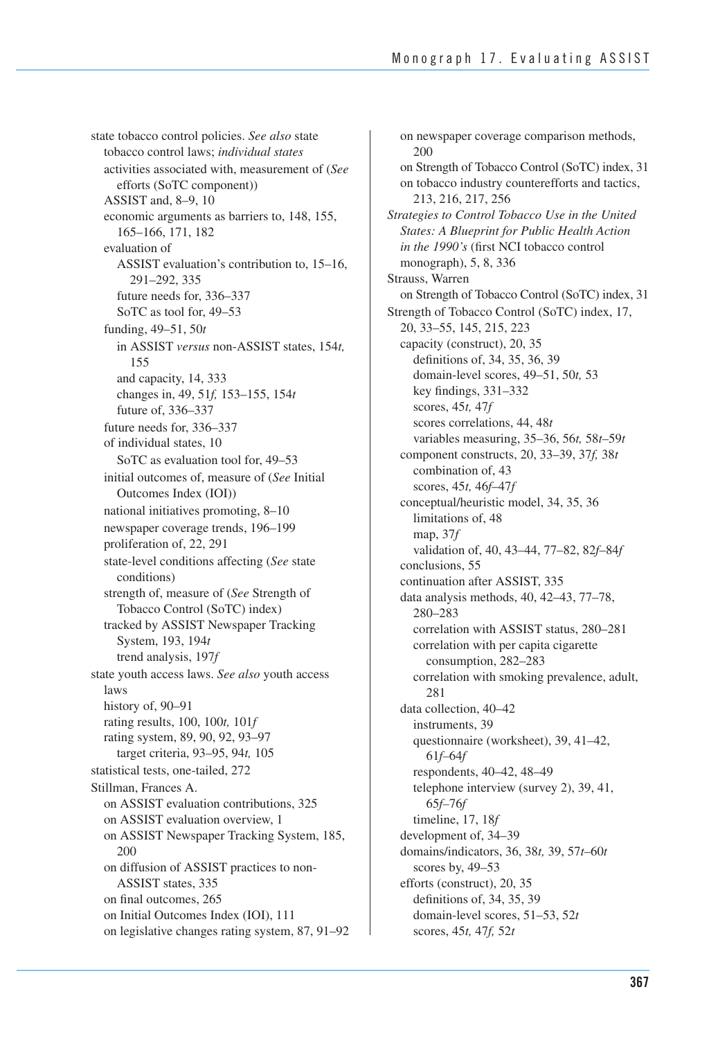state tobacco control policies. *See also* state tobacco control laws; *individual states*  activities associated with, measurement of (*See*  efforts (SoTC component)) ASSIST and, 8–9, 10 economic arguments as barriers to, 148, 155, 165–166, 171, 182 evaluation of ASSIST evaluation's contribution to, 15–16, 291–292, 335 future needs for, 336–337 SoTC as tool for, 49–53 funding, 49–51, 50*t*  in ASSIST *versus* non-ASSIST states, 154*t,*  155 and capacity, 14, 333 changes in, 49, 51*f,* 153–155, 154*t* future of, 336–337 future needs for, 336–337 of individual states, 10 SoTC as evaluation tool for, 49–53 initial outcomes of, measure of (*See* Initial Outcomes Index (IOI)) national initiatives promoting, 8–10 newspaper coverage trends, 196–199 proliferation of, 22, 291 state-level conditions affecting (*See* state conditions) strength of, measure of (*See* Strength of Tobacco Control (SoTC) index) tracked by ASSIST Newspaper Tracking System, 193, 194*t* trend analysis, 197*f* state youth access laws. *See also* youth access laws history of, 90-91 rating results, 100, 100*t,* 101*f*  rating system, 89, 90, 92, 93–97 target criteria, 93–95, 94*t,* 105 statistical tests, one-tailed, 272 Stillman, Frances A. on ASSIST evaluation contributions, 325 on ASSIST evaluation overview, 1 on ASSIST Newspaper Tracking System, 185, 200 on diffusion of ASSIST practices to non- ASSIST states, 335 on final outcomes, 265 on Initial Outcomes Index (IOI), 111 on legislative changes rating system, 87, 91–92

 on Strength of Tobacco Control (SoTC) index, 31 on Strength of Tobacco Control (SoTC) index, 31 on newspaper coverage comparison methods, 200 on tobacco industry counterefforts and tactics, 213, 216, 217, 256 *Strategies to Control Tobacco Use in the United States: A Blueprint for Public Health Action in the 1990's* (first NCI tobacco control monograph), 5, 8, 336 Strauss, Warren Strength of Tobacco Control (SoTC) index, 17, 20, 33–55, 145, 215, 223 capacity (construct), 20, 35 definitions of, 34, 35, 36, 39 domain-level scores, 49–51, 50*t,* 53 key findings, 331–332 scores, 45*t,* 47*f*  scores correlations, 44, 48*t*  variables measuring, 35–36, 56*t,* 58*t*–59*t*  component constructs, 20, 33–39, 37*f,* 38*t* combination of, 43 scores, 45*t,* 46*f*–47*f* conceptual/heuristic model, 34, 35, 36 limitations of, 48 map, 37*f* validation of, 40, 43–44, 77–82, 82*f*–84*f* conclusions, 55 continuation after ASSIST, 335 data analysis methods, 40, 42–43, 77–78, 280–283 correlation with ASSIST status, 280–281 correlation with per capita cigarette consumption, 282–283 correlation with smoking prevalence, adult, 281 data collection, 40–42 instruments, 39 questionnaire (worksheet), 39, 41–42, 61*f–*64*f*  respondents, 40–42, 48–49 telephone interview (survey 2), 39, 41, 65*f–*76*f*  timeline, 17, 18*f* development of, 34–39 domains/indicators, 36, 38*t,* 39, 57*t*–60*t* scores by, 49–53 efforts (construct), 20, 35 definitions of, 34, 35, 39 domain-level scores, 51–53, 52*t* scores, 45*t,* 47*f,* 52*t*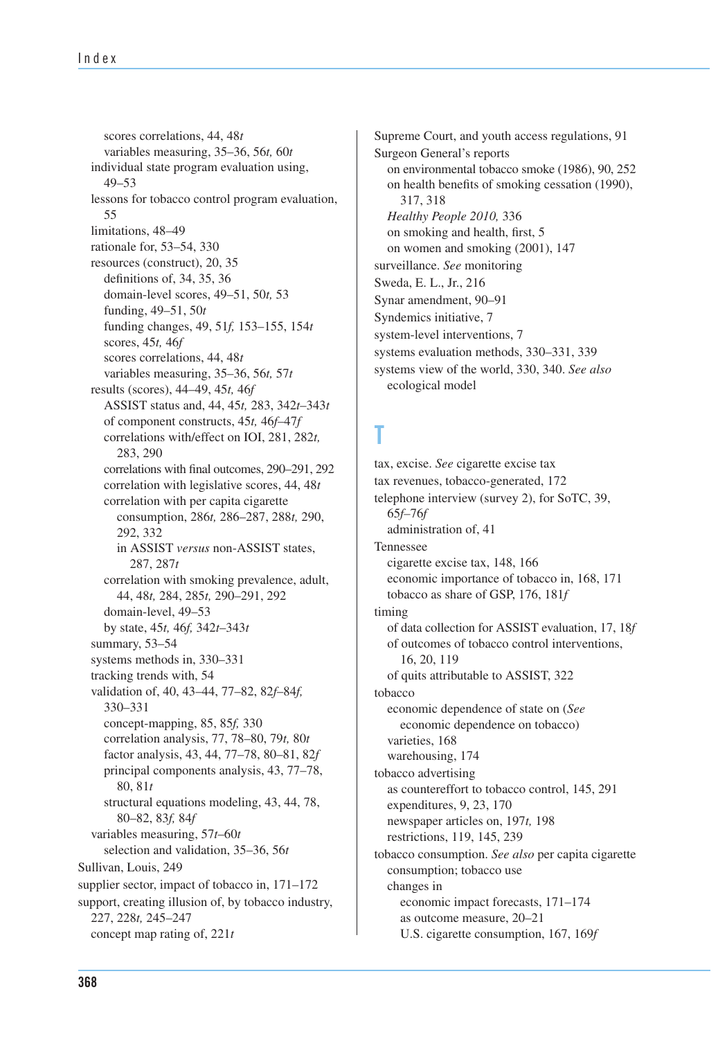correlations with final outcomes, 290–291, 292 scores correlations, 44, 48*t*  variables measuring, 35–36, 56*t,* 60*t*  individual state program evaluation using, 49–53 lessons for tobacco control program evaluation, 55 limitations, 48–49 rationale for, 53–54, 330 resources (construct), 20, 35 definitions of, 34, 35, 36 domain-level scores, 49–51, 50*t,* 53 funding, 49–51, 50*t* funding changes, 49, 51*f,* 153–155, 154*t* scores, 45*t,* 46*f* scores correlations, 44, 48*t* variables measuring, 35–36, 56*t,* 57*t* results (scores), 44–49, 45*t,* 46*f*  ASSIST status and, 44, 45*t,* 283, 342*t*–343*t*  of component constructs, 45*t,* 46*f*–47*f*  correlations with/effect on IOI, 281, 282*t,*  283, 290 correlation with legislative scores, 44, 48*t* correlation with per capita cigarette consumption, 286*t,* 286–287, 288*t,* 290, 292, 332 in ASSIST *versus* non-ASSIST states, 287, 287*t*  correlation with smoking prevalence, adult, 44, 48*t,* 284, 285*t,* 290–291, 292 domain-level, 49–53 by state, 45*t,* 46*f,* 342*t*–343*t* summary, 53–54 systems methods in, 330–331 tracking trends with, 54 validation of, 40, 43–44, 77–82, 82*f*–84*f,* 330–331 concept-mapping, 85, 85*f,* 330 correlation analysis, 77, 78–80, 79*t,* 80*t* factor analysis, 43, 44, 77–78, 80–81, 82*f* principal components analysis, 43, 77–78, 80, 81*t* structural equations modeling, 43, 44, 78, 80–82, 83*f,* 84*f*  variables measuring, 57*t*–60*t* selection and validation, 35–36, 56*t* Sullivan, Louis, 249 supplier sector, impact of tobacco in,  $171-172$ support, creating illusion of, by tobacco industry, 227, 228*t,* 245–247 concept map rating of, 221*t* 

 on environmental tobacco smoke (1986), 90, 252 Supreme Court, and youth access regulations, 91 Surgeon General's reports on health benefits of smoking cessation (1990), 317, 318 *Healthy People 2010,* 336 on smoking and health, first, 5 on women and smoking (2001), 147 surveillance. *See* monitoring Sweda, E. L., Jr., 216 Synar amendment, 90–91 Syndemics initiative, 7 system-level interventions, 7 systems evaluation methods, 330–331, 339 systems view of the world, 330, 340. *See also* ecological model

## **T**

 of data collection for ASSIST evaluation, 17, 18*f*  tax, excise. *See* cigarette excise tax tax revenues, tobacco-generated, 172 telephone interview (survey 2), for SoTC, 39, 65*f–*76*f* administration of, 41 Tennessee cigarette excise tax, 148, 166 economic importance of tobacco in, 168, 171 tobacco as share of GSP, 176, 181*f* timing of outcomes of tobacco control interventions, 16, 20, 119 of quits attributable to ASSIST, 322 tobacco economic dependence of state on (*See* economic dependence on tobacco) varieties, 168 warehousing, 174 tobacco advertising as countereffort to tobacco control, 145, 291 expenditures, 9, 23, 170 newspaper articles on, 197*t,* 198 restrictions, 119, 145, 239 tobacco consumption. *See also* per capita cigarette consumption; tobacco use changes in economic impact forecasts, 171–174 as outcome measure, 20–21 U.S. cigarette consumption, 167, 169*f*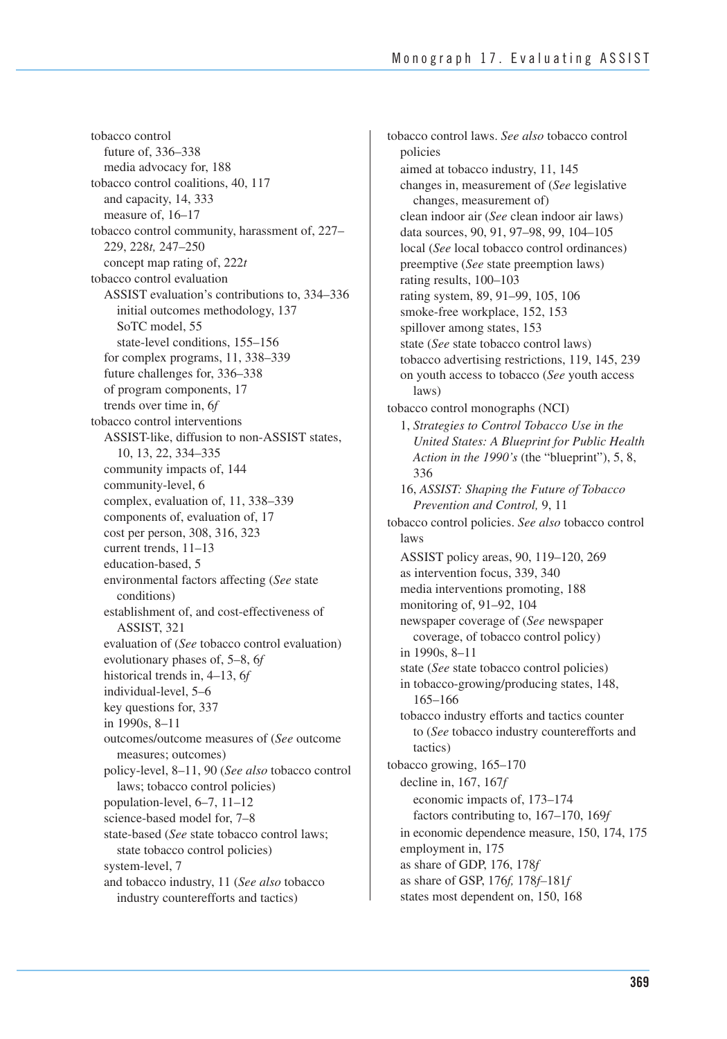tobacco control future of, 336–338 media advocacy for, 188 tobacco control coalitions, 40, 117 and capacity, 14, 333 measure of, 16–17 tobacco control community, harassment of, 227– 229, 228*t,* 247–250 concept map rating of, 222*t*  tobacco control evaluation ASSIST evaluation's contributions to, 334–336 initial outcomes methodology, 137 SoTC model, 55 state-level conditions, 155–156 for complex programs, 11, 338–339 future challenges for, 336–338 of program components, 17 trends over time in, 6*f* tobacco control interventions ASSIST-like, diffusion to non-ASSIST states, 10, 13, 22, 334–335 community impacts of, 144 community-level, 6 complex, evaluation of, 11, 338–339 components of, evaluation of, 17 cost per person, 308, 316, 323 current trends, 11–13 education-based, 5 environmental factors affecting (*See* state conditions) establishment of, and cost-effectiveness of ASSIST, 321 evaluation of (*See* tobacco control evaluation) evolutionary phases of, 5–8, 6*f*  historical trends in, 4–13, 6*f*  individual-level, 5–6 key questions for, 337 in 1990s, 8–11 outcomes/outcome measures of (*See* outcome measures; outcomes) policy-level, 8–11, 90 (*See also* tobacco control laws; tobacco control policies) population-level, 6–7, 11–12 science-based model for, 7–8 state-based (*See* state tobacco control laws; state tobacco control policies) system-level, 7 and tobacco industry, 11 (*See also* tobacco industry counterefforts and tactics)

 in economic dependence measure, 150, 174, 175 tobacco control laws. *See also* tobacco control policies aimed at tobacco industry, 11, 145 changes in, measurement of (*See* legislative changes, measurement of) clean indoor air (*See* clean indoor air laws) data sources, 90, 91, 97–98, 99, 104–105 local (*See* local tobacco control ordinances) preemptive (*See* state preemption laws) rating results, 100–103 rating system, 89, 91–99, 105, 106 smoke-free workplace, 152, 153 spillover among states, 153 state (*See* state tobacco control laws) tobacco advertising restrictions, 119, 145, 239 on youth access to tobacco (*See* youth access laws) tobacco control monographs (NCI) 1, *Strategies to Control Tobacco Use in the United States: A Blueprint for Public Health Action in the 1990's* (the "blueprint"), 5, 8, 336 16, *ASSIST: Shaping the Future of Tobacco Prevention and Control,* 9, 11 tobacco control policies. *See also* tobacco control laws ASSIST policy areas, 90, 119–120, 269 as intervention focus, 339, 340 media interventions promoting, 188 monitoring of, 91–92, 104 newspaper coverage of (*See* newspaper coverage, of tobacco control policy) in 1990s, 8–11 state (*See* state tobacco control policies) in tobacco-growing/producing states, 148, 165–166 tobacco industry efforts and tactics counter to (*See* tobacco industry counterefforts and tactics) tobacco growing, 165–170 decline in, 167, 167*f* economic impacts of, 173–174 factors contributing to, 167–170, 169*f*  employment in, 175 as share of GDP, 176, 178*f*  as share of GSP, 176*f,* 178*f–*181*f*  states most dependent on, 150, 168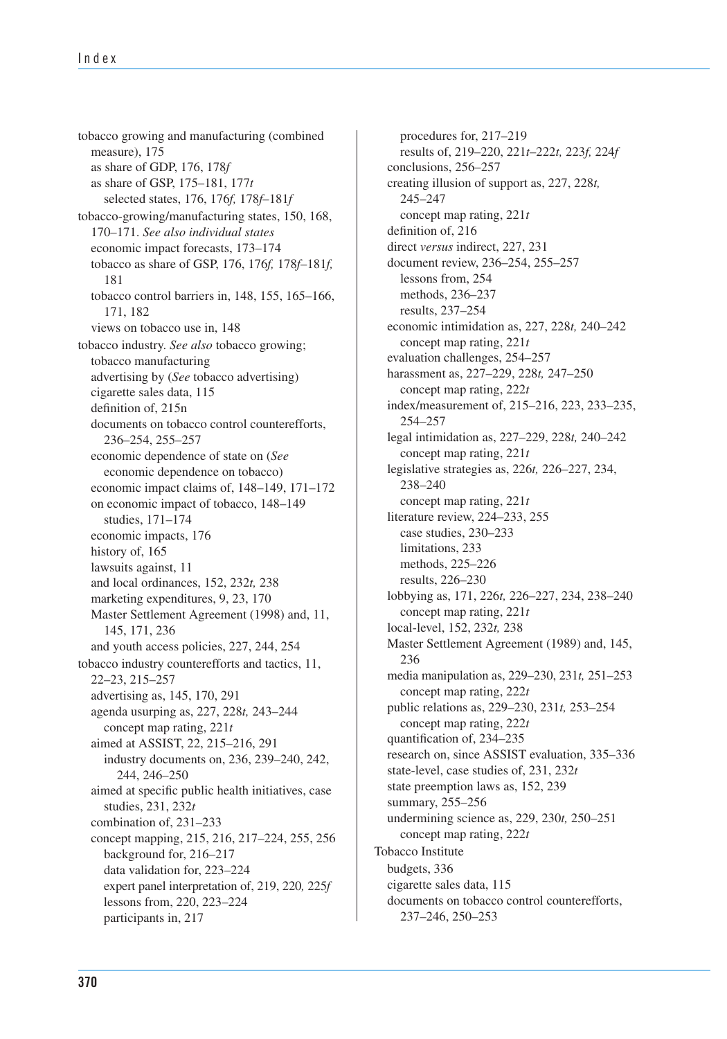expert panel interpretation of, 219, 220*,* 225*f*  tobacco growing and manufacturing (combined measure), 175 as share of GDP, 176, 178*f*  as share of GSP, 175–181, 177*t*  selected states, 176, 176*f,* 178*f*–181*f*  tobacco-growing/manufacturing states, 150, 168, 170–171. *See also individual states*  economic impact forecasts, 173–174 tobacco as share of GSP, 176, 176*f,* 178*f*–181*f,*  181 tobacco control barriers in, 148, 155, 165–166, 171, 182 views on tobacco use in, 148 tobacco industry. *See also* tobacco growing; tobacco manufacturing advertising by (*See* tobacco advertising) cigarette sales data, 115 definition of, 215n documents on tobacco control counterefforts, 236–254, 255–257 economic dependence of state on (*See* economic dependence on tobacco) economic impact claims of, 148–149, 171–172 on economic impact of tobacco, 148–149 studies, 171–174 economic impacts, 176 history of, 165 lawsuits against, 11 and local ordinances, 152, 232*t,* 238 marketing expenditures, 9, 23, 170 Master Settlement Agreement (1998) and, 11, 145, 171, 236 and youth access policies, 227, 244, 254 tobacco industry counterefforts and tactics, 11, 22–23, 215–257 advertising as, 145, 170, 291 agenda usurping as, 227, 228*t,* 243–244 concept map rating, 221*t*  aimed at ASSIST, 22, 215–216, 291 industry documents on, 236, 239–240, 242, 244, 246–250 aimed at specific public health initiatives, case studies, 231, 232*t*  combination of, 231–233 concept mapping, 215, 216, 217–224, 255, 256 background for, 216–217 data validation for, 223–224 lessons from, 220, 223–224 participants in, 217

 media manipulation as, 229–230, 231*t,* 251–253 procedures for, 217–219 results of, 219–220, 221*t*–222*t,* 223*f,* 224*f*  conclusions, 256–257 creating illusion of support as, 227, 228*t,*  245–247 concept map rating, 221*t* definition of, 216 direct *versus* indirect, 227, 231 document review, 236–254, 255–257 lessons from, 254 methods, 236–237 results, 237–254 economic intimidation as, 227, 228*t,* 240–242 concept map rating, 221*t* evaluation challenges, 254–257 harassment as, 227–229, 228*t,* 247–250 concept map rating, 222*t*  index/measurement of, 215–216, 223, 233–235, 254–257 legal intimidation as, 227–229, 228*t,* 240–242 concept map rating, 221*t*  legislative strategies as, 226*t,* 226–227, 234, 238–240 concept map rating, 221*t*  literature review, 224–233, 255 case studies, 230–233 limitations, 233 methods, 225–226 results, 226–230 lobbying as, 171, 226*t,* 226–227, 234, 238–240 concept map rating, 221*t*  local-level, 152, 232*t,* 238 Master Settlement Agreement (1989) and, 145, 236 concept map rating, 222*t*  public relations as, 229–230, 231*t,* 253–254 concept map rating, 222*t*  quantification of, 234–235 research on, since ASSIST evaluation, 335–336 state-level, case studies of, 231, 232*t*  state preemption laws as, 152, 239 summary, 255–256 undermining science as, 229, 230*t,* 250–251 concept map rating, 222*t*  Tobacco Institute budgets, 336 cigarette sales data, 115 documents on tobacco control counterefforts, 237–246, 250–253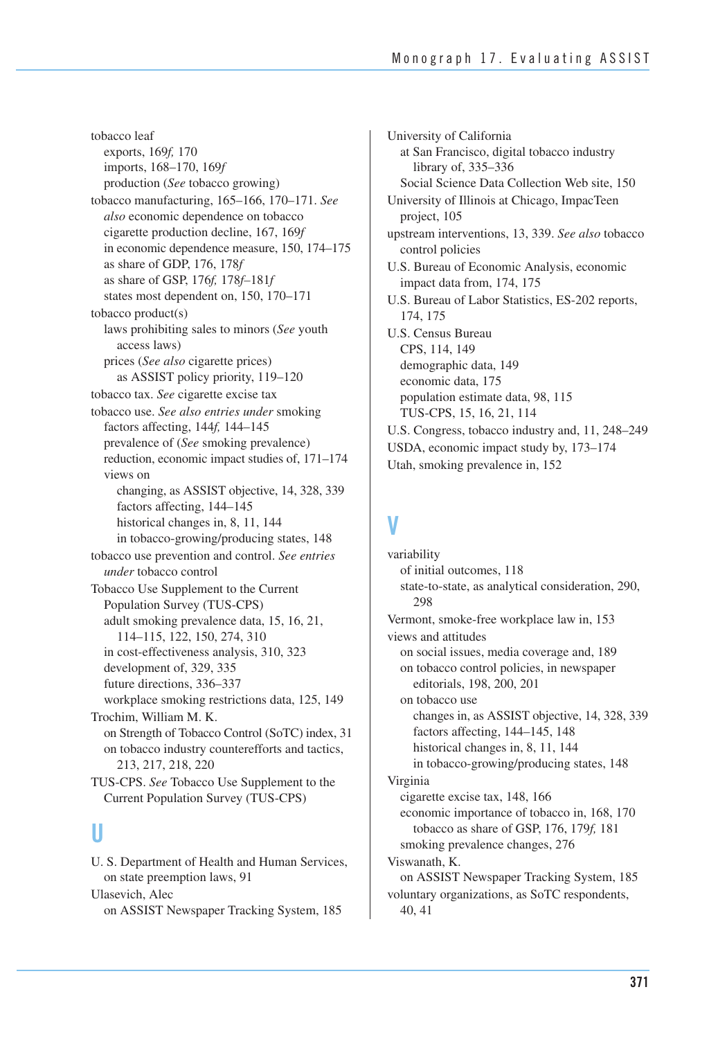in economic dependence measure, 150, 174–175 reduction, economic impact studies of, 171–174 changing, as ASSIST objective, 14, 328, 339 on Strength of Tobacco Control (SoTC) index, 31 tobacco leaf exports, 169*f,* 170 imports, 168–170, 169*f* production (*See* tobacco growing) tobacco manufacturing, 165–166, 170–171. *See also* economic dependence on tobacco cigarette production decline, 167, 169*f*  as share of GDP, 176, 178*f*  as share of GSP, 176*f,* 178*f–*181*f*  states most dependent on, 150, 170–171 tobacco product(s) laws prohibiting sales to minors (*See* youth access laws) prices (*See also* cigarette prices) as ASSIST policy priority, 119–120 tobacco tax. *See* cigarette excise tax tobacco use. *See also entries under* smoking factors affecting, 144*f,* 144–145 prevalence of (*See* smoking prevalence) views on factors affecting, 144–145 historical changes in, 8, 11, 144 in tobacco-growing/producing states, 148 tobacco use prevention and control. *See entries under* tobacco control Tobacco Use Supplement to the Current Population Survey (TUS-CPS) adult smoking prevalence data, 15, 16, 21, 114–115, 122, 150, 274, 310 in cost-effectiveness analysis, 310, 323 development of, 329, 335 future directions, 336–337 workplace smoking restrictions data, 125, 149 Trochim, William M. K. on tobacco industry counterefforts and tactics, 213, 217, 218, 220 TUS-CPS. *See* Tobacco Use Supplement to the Current Population Survey (TUS-CPS)

#### **U**

U. S. Department of Health and Human Services, on state preemption laws, 91 Ulasevich, Alec on ASSIST Newspaper Tracking System, 185

University of California at San Francisco, digital tobacco industry library of, 335–336 Social Science Data Collection Web site, 150 University of Illinois at Chicago, ImpacTeen project, 105 upstream interventions, 13, 339. *See also* tobacco control policies U.S. Bureau of Economic Analysis, economic impact data from, 174, 175 U.S. Bureau of Labor Statistics, ES-202 reports, 174, 175 U.S. Census Bureau CPS, 114, 149 demographic data, 149 economic data, 175 population estimate data, 98, 115 TUS-CPS, 15, 16, 21, 114 U.S. Congress, tobacco industry and, 11, 248–249 USDA, economic impact study by, 173–174 Utah, smoking prevalence in, 152

# **V**

 changes in, as ASSIST objective, 14, 328, 339 variability of initial outcomes, 118 state-to-state, as analytical consideration, 290, 298 Vermont, smoke-free workplace law in, 153 views and attitudes on social issues, media coverage and, 189 on tobacco control policies, in newspaper editorials, 198, 200, 201 on tobacco use factors affecting, 144–145, 148 historical changes in, 8, 11, 144 in tobacco-growing/producing states, 148 Virginia cigarette excise tax, 148, 166 economic importance of tobacco in, 168, 170 tobacco as share of GSP, 176, 179*f,* 181 smoking prevalence changes, 276 Viswanath, K. on ASSIST Newspaper Tracking System, 185 voluntary organizations, as SoTC respondents, 40, 41